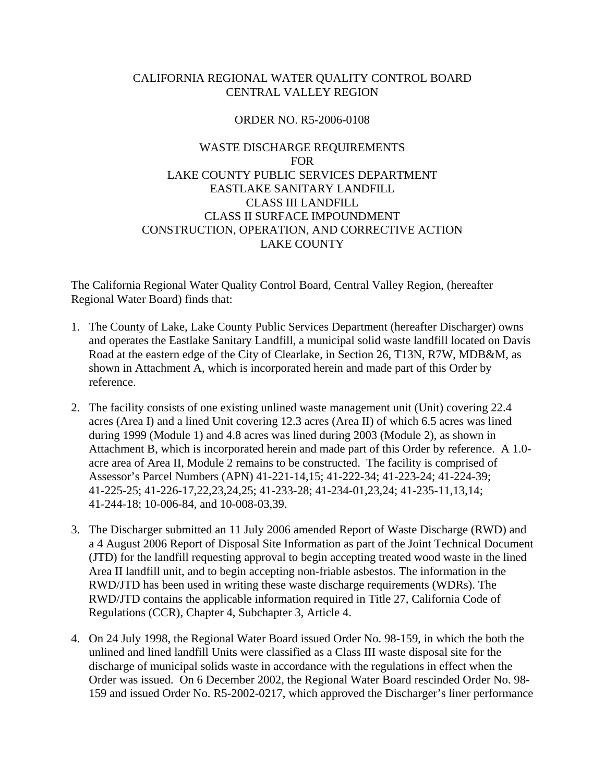# CALIFORNIA REGIONAL WATER QUALITY CONTROL BOARD CENTRAL VALLEY REGION

# ORDER NO. R5-2006-0108

# WASTE DISCHARGE REQUIREMENTS FOR LAKE COUNTY PUBLIC SERVICES DEPARTMENT EASTLAKE SANITARY LANDFILL CLASS III LANDFILL CLASS II SURFACE IMPOUNDMENT CONSTRUCTION, OPERATION, AND CORRECTIVE ACTION LAKE COUNTY

The California Regional Water Quality Control Board, Central Valley Region, (hereafter Regional Water Board) finds that:

- 1. The County of Lake, Lake County Public Services Department (hereafter Discharger) owns and operates the Eastlake Sanitary Landfill, a municipal solid waste landfill located on Davis Road at the eastern edge of the City of Clearlake, in Section 26, T13N, R7W, MDB&M, as shown in Attachment A, which is incorporated herein and made part of this Order by reference.
- 2. The facility consists of one existing unlined waste management unit (Unit) covering 22.4 acres (Area I) and a lined Unit covering 12.3 acres (Area II) of which 6.5 acres was lined during 1999 (Module 1) and 4.8 acres was lined during 2003 (Module 2), as shown in Attachment B, which is incorporated herein and made part of this Order by reference. A 1.0 acre area of Area II, Module 2 remains to be constructed. The facility is comprised of Assessor's Parcel Numbers (APN) 41-221-14,15; 41-222-34; 41-223-24; 41-224-39; 41-225-25; 41-226-17,22,23,24,25; 41-233-28; 41-234-01,23,24; 41-235-11,13,14; 41-244-18; 10-006-84, and 10-008-03,39.
- 3. The Discharger submitted an 11 July 2006 amended Report of Waste Discharge (RWD) and a 4 August 2006 Report of Disposal Site Information as part of the Joint Technical Document (JTD) for the landfill requesting approval to begin accepting treated wood waste in the lined Area II landfill unit, and to begin accepting non-friable asbestos. The information in the RWD/JTD has been used in writing these waste discharge requirements (WDRs). The RWD/JTD contains the applicable information required in Title 27, California Code of Regulations (CCR), Chapter 4, Subchapter 3, Article 4.
- 4. On 24 July 1998, the Regional Water Board issued Order No. 98-159, in which the both the unlined and lined landfill Units were classified as a Class III waste disposal site for the discharge of municipal solids waste in accordance with the regulations in effect when the Order was issued. On 6 December 2002, the Regional Water Board rescinded Order No. 98- 159 and issued Order No. R5-2002-0217, which approved the Discharger's liner performance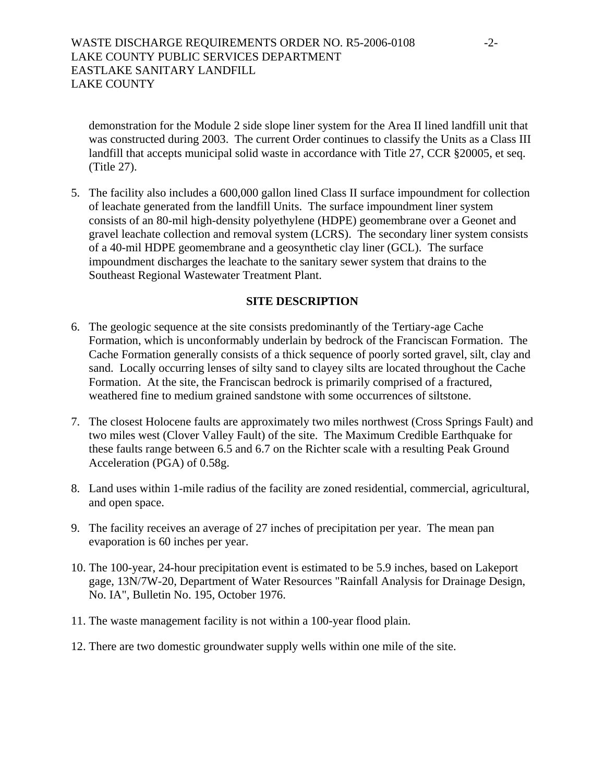demonstration for the Module 2 side slope liner system for the Area II lined landfill unit that was constructed during 2003. The current Order continues to classify the Units as a Class III landfill that accepts municipal solid waste in accordance with Title 27, CCR §20005, et seq. (Title 27).

5. The facility also includes a 600,000 gallon lined Class II surface impoundment for collection of leachate generated from the landfill Units. The surface impoundment liner system consists of an 80-mil high-density polyethylene (HDPE) geomembrane over a Geonet and gravel leachate collection and removal system (LCRS). The secondary liner system consists of a 40-mil HDPE geomembrane and a geosynthetic clay liner (GCL). The surface impoundment discharges the leachate to the sanitary sewer system that drains to the Southeast Regional Wastewater Treatment Plant.

## **SITE DESCRIPTION**

- 6. The geologic sequence at the site consists predominantly of the Tertiary-age Cache Formation, which is unconformably underlain by bedrock of the Franciscan Formation. The Cache Formation generally consists of a thick sequence of poorly sorted gravel, silt, clay and sand. Locally occurring lenses of silty sand to clayey silts are located throughout the Cache Formation. At the site, the Franciscan bedrock is primarily comprised of a fractured, weathered fine to medium grained sandstone with some occurrences of siltstone.
- 7. The closest Holocene faults are approximately two miles northwest (Cross Springs Fault) and two miles west (Clover Valley Fault) of the site. The Maximum Credible Earthquake for these faults range between 6.5 and 6.7 on the Richter scale with a resulting Peak Ground Acceleration (PGA) of 0.58g.
- 8. Land uses within 1-mile radius of the facility are zoned residential, commercial, agricultural, and open space.
- 9. The facility receives an average of 27 inches of precipitation per year. The mean pan evaporation is 60 inches per year.
- 10. The 100-year, 24-hour precipitation event is estimated to be 5.9 inches, based on Lakeport gage, 13N/7W-20, Department of Water Resources "Rainfall Analysis for Drainage Design, No. IA", Bulletin No. 195, October 1976.
- 11. The waste management facility is not within a 100-year flood plain.
- 12. There are two domestic groundwater supply wells within one mile of the site.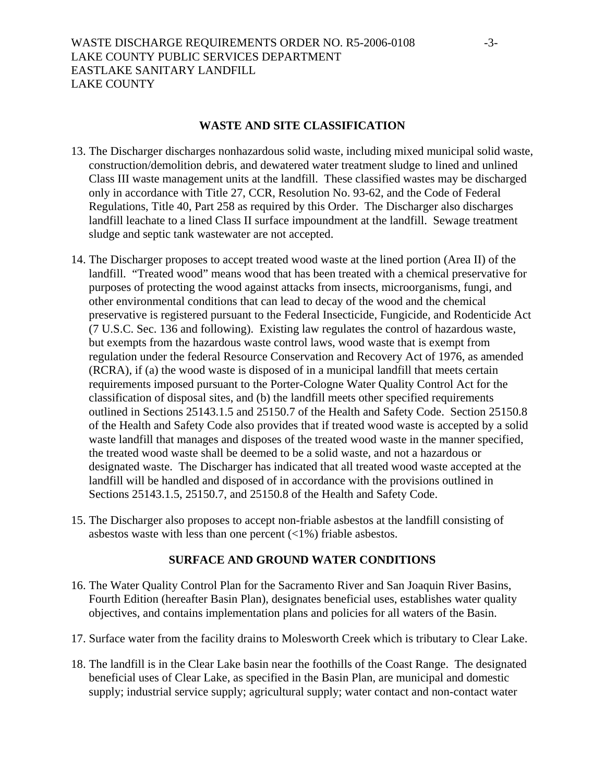## **WASTE AND SITE CLASSIFICATION**

- 13. The Discharger discharges nonhazardous solid waste, including mixed municipal solid waste, construction/demolition debris, and dewatered water treatment sludge to lined and unlined Class III waste management units at the landfill. These classified wastes may be discharged only in accordance with Title 27, CCR, Resolution No. 93-62, and the Code of Federal Regulations, Title 40, Part 258 as required by this Order. The Discharger also discharges landfill leachate to a lined Class II surface impoundment at the landfill. Sewage treatment sludge and septic tank wastewater are not accepted.
- 14. The Discharger proposes to accept treated wood waste at the lined portion (Area II) of the landfill. "Treated wood" means wood that has been treated with a chemical preservative for purposes of protecting the wood against attacks from insects, microorganisms, fungi, and other environmental conditions that can lead to decay of the wood and the chemical preservative is registered pursuant to the Federal Insecticide, Fungicide, and Rodenticide Act (7 U.S.C. Sec. 136 and following). Existing law regulates the control of hazardous waste, but exempts from the hazardous waste control laws, wood waste that is exempt from regulation under the federal Resource Conservation and Recovery Act of 1976, as amended (RCRA), if (a) the wood waste is disposed of in a municipal landfill that meets certain requirements imposed pursuant to the Porter-Cologne Water Quality Control Act for the classification of disposal sites, and (b) the landfill meets other specified requirements outlined in Sections 25143.1.5 and 25150.7 of the Health and Safety Code. Section 25150.8 of the Health and Safety Code also provides that if treated wood waste is accepted by a solid waste landfill that manages and disposes of the treated wood waste in the manner specified, the treated wood waste shall be deemed to be a solid waste, and not a hazardous or designated waste. The Discharger has indicated that all treated wood waste accepted at the landfill will be handled and disposed of in accordance with the provisions outlined in Sections 25143.1.5, 25150.7, and 25150.8 of the Health and Safety Code.
- 15. The Discharger also proposes to accept non-friable asbestos at the landfill consisting of asbestos waste with less than one percent  $\left(\langle 1\% \rangle\right)$  friable asbestos.

# **SURFACE AND GROUND WATER CONDITIONS**

- 16. The Water Quality Control Plan for the Sacramento River and San Joaquin River Basins, Fourth Edition (hereafter Basin Plan), designates beneficial uses, establishes water quality objectives, and contains implementation plans and policies for all waters of the Basin.
- 17. Surface water from the facility drains to Molesworth Creek which is tributary to Clear Lake.
- 18. The landfill is in the Clear Lake basin near the foothills of the Coast Range. The designated beneficial uses of Clear Lake, as specified in the Basin Plan, are municipal and domestic supply; industrial service supply; agricultural supply; water contact and non-contact water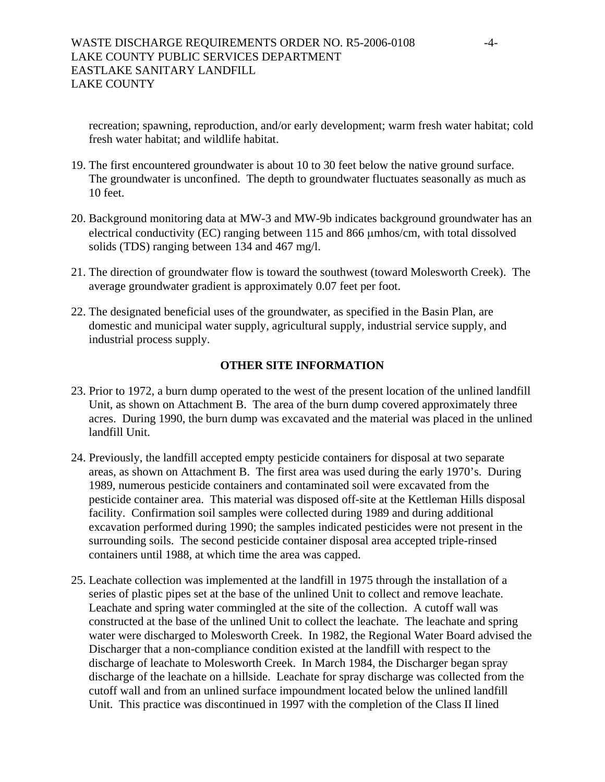recreation; spawning, reproduction, and/or early development; warm fresh water habitat; cold fresh water habitat; and wildlife habitat.

- 19. The first encountered groundwater is about 10 to 30 feet below the native ground surface. The groundwater is unconfined. The depth to groundwater fluctuates seasonally as much as 10 feet.
- 20. Background monitoring data at MW-3 and MW-9b indicates background groundwater has an electrical conductivity (EC) ranging between 115 and 866 μmhos/cm, with total dissolved solids (TDS) ranging between 134 and 467 mg/l.
- 21. The direction of groundwater flow is toward the southwest (toward Molesworth Creek). The average groundwater gradient is approximately 0.07 feet per foot.
- 22. The designated beneficial uses of the groundwater, as specified in the Basin Plan, are domestic and municipal water supply, agricultural supply, industrial service supply, and industrial process supply.

# **OTHER SITE INFORMATION**

- 23. Prior to 1972, a burn dump operated to the west of the present location of the unlined landfill Unit, as shown on Attachment B. The area of the burn dump covered approximately three acres. During 1990, the burn dump was excavated and the material was placed in the unlined landfill Unit.
- 24. Previously, the landfill accepted empty pesticide containers for disposal at two separate areas, as shown on Attachment B. The first area was used during the early 1970's. During 1989, numerous pesticide containers and contaminated soil were excavated from the pesticide container area. This material was disposed off-site at the Kettleman Hills disposal facility. Confirmation soil samples were collected during 1989 and during additional excavation performed during 1990; the samples indicated pesticides were not present in the surrounding soils. The second pesticide container disposal area accepted triple-rinsed containers until 1988, at which time the area was capped.
- 25. Leachate collection was implemented at the landfill in 1975 through the installation of a series of plastic pipes set at the base of the unlined Unit to collect and remove leachate. Leachate and spring water commingled at the site of the collection. A cutoff wall was constructed at the base of the unlined Unit to collect the leachate. The leachate and spring water were discharged to Molesworth Creek. In 1982, the Regional Water Board advised the Discharger that a non-compliance condition existed at the landfill with respect to the discharge of leachate to Molesworth Creek. In March 1984, the Discharger began spray discharge of the leachate on a hillside. Leachate for spray discharge was collected from the cutoff wall and from an unlined surface impoundment located below the unlined landfill Unit. This practice was discontinued in 1997 with the completion of the Class II lined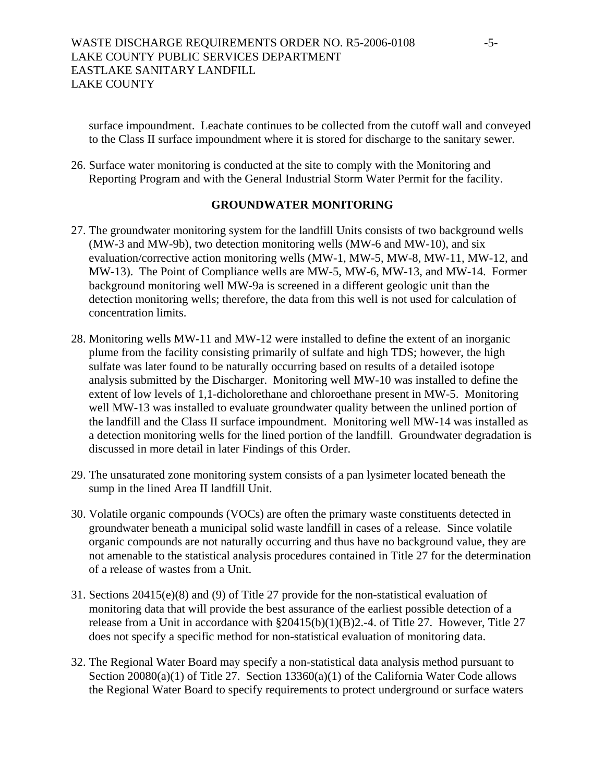surface impoundment. Leachate continues to be collected from the cutoff wall and conveyed to the Class II surface impoundment where it is stored for discharge to the sanitary sewer.

26. Surface water monitoring is conducted at the site to comply with the Monitoring and Reporting Program and with the General Industrial Storm Water Permit for the facility.

# **GROUNDWATER MONITORING**

- 27. The groundwater monitoring system for the landfill Units consists of two background wells (MW-3 and MW-9b), two detection monitoring wells (MW-6 and MW-10), and six evaluation/corrective action monitoring wells (MW-1, MW-5, MW-8, MW-11, MW-12, and MW-13). The Point of Compliance wells are MW-5, MW-6, MW-13, and MW-14. Former background monitoring well MW-9a is screened in a different geologic unit than the detection monitoring wells; therefore, the data from this well is not used for calculation of concentration limits.
- 28. Monitoring wells MW-11 and MW-12 were installed to define the extent of an inorganic plume from the facility consisting primarily of sulfate and high TDS; however, the high sulfate was later found to be naturally occurring based on results of a detailed isotope analysis submitted by the Discharger. Monitoring well MW-10 was installed to define the extent of low levels of 1,1-dicholorethane and chloroethane present in MW-5. Monitoring well MW-13 was installed to evaluate groundwater quality between the unlined portion of the landfill and the Class II surface impoundment. Monitoring well MW-14 was installed as a detection monitoring wells for the lined portion of the landfill. Groundwater degradation is discussed in more detail in later Findings of this Order.
- 29. The unsaturated zone monitoring system consists of a pan lysimeter located beneath the sump in the lined Area II landfill Unit.
- 30. Volatile organic compounds (VOCs) are often the primary waste constituents detected in groundwater beneath a municipal solid waste landfill in cases of a release. Since volatile organic compounds are not naturally occurring and thus have no background value, they are not amenable to the statistical analysis procedures contained in Title 27 for the determination of a release of wastes from a Unit.
- 31. Sections 20415(e)(8) and (9) of Title 27 provide for the non-statistical evaluation of monitoring data that will provide the best assurance of the earliest possible detection of a release from a Unit in accordance with §20415(b)(1)(B)2.-4. of Title 27. However, Title 27 does not specify a specific method for non-statistical evaluation of monitoring data.
- 32. The Regional Water Board may specify a non-statistical data analysis method pursuant to Section 20080(a)(1) of Title 27. Section 13360(a)(1) of the California Water Code allows the Regional Water Board to specify requirements to protect underground or surface waters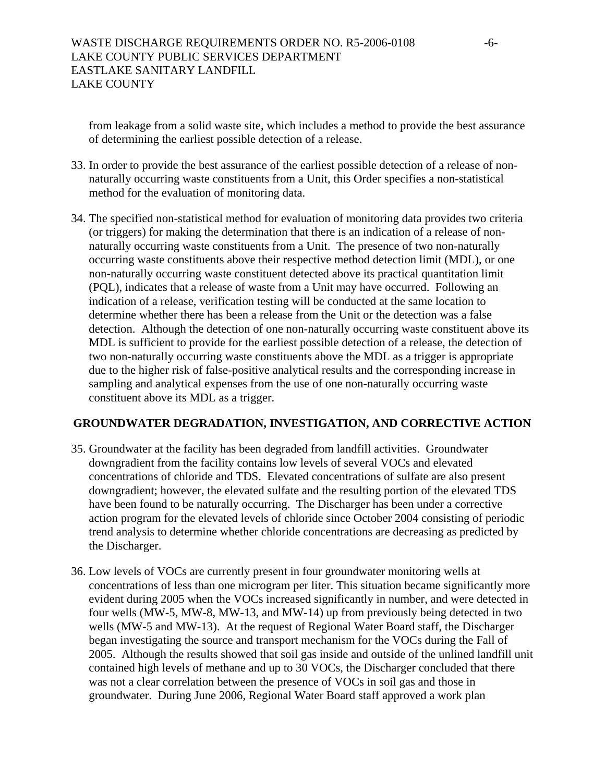from leakage from a solid waste site, which includes a method to provide the best assurance of determining the earliest possible detection of a release.

- 33. In order to provide the best assurance of the earliest possible detection of a release of nonnaturally occurring waste constituents from a Unit, this Order specifies a non-statistical method for the evaluation of monitoring data.
- 34. The specified non-statistical method for evaluation of monitoring data provides two criteria (or triggers) for making the determination that there is an indication of a release of nonnaturally occurring waste constituents from a Unit. The presence of two non-naturally occurring waste constituents above their respective method detection limit (MDL), or one non-naturally occurring waste constituent detected above its practical quantitation limit (PQL), indicates that a release of waste from a Unit may have occurred. Following an indication of a release, verification testing will be conducted at the same location to determine whether there has been a release from the Unit or the detection was a false detection. Although the detection of one non-naturally occurring waste constituent above its MDL is sufficient to provide for the earliest possible detection of a release, the detection of two non-naturally occurring waste constituents above the MDL as a trigger is appropriate due to the higher risk of false-positive analytical results and the corresponding increase in sampling and analytical expenses from the use of one non-naturally occurring waste constituent above its MDL as a trigger.

# **GROUNDWATER DEGRADATION, INVESTIGATION, AND CORRECTIVE ACTION**

- 35. Groundwater at the facility has been degraded from landfill activities. Groundwater downgradient from the facility contains low levels of several VOCs and elevated concentrations of chloride and TDS. Elevated concentrations of sulfate are also present downgradient; however, the elevated sulfate and the resulting portion of the elevated TDS have been found to be naturally occurring. The Discharger has been under a corrective action program for the elevated levels of chloride since October 2004 consisting of periodic trend analysis to determine whether chloride concentrations are decreasing as predicted by the Discharger.
- 36. Low levels of VOCs are currently present in four groundwater monitoring wells at concentrations of less than one microgram per liter. This situation became significantly more evident during 2005 when the VOCs increased significantly in number, and were detected in four wells (MW-5, MW-8, MW-13, and MW-14) up from previously being detected in two wells (MW-5 and MW-13). At the request of Regional Water Board staff, the Discharger began investigating the source and transport mechanism for the VOCs during the Fall of 2005. Although the results showed that soil gas inside and outside of the unlined landfill unit contained high levels of methane and up to 30 VOCs, the Discharger concluded that there was not a clear correlation between the presence of VOCs in soil gas and those in groundwater. During June 2006, Regional Water Board staff approved a work plan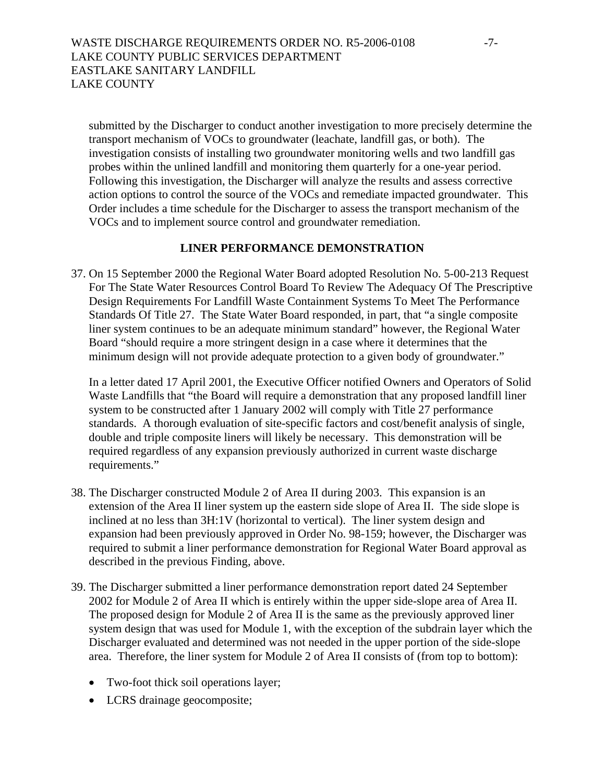submitted by the Discharger to conduct another investigation to more precisely determine the transport mechanism of VOCs to groundwater (leachate, landfill gas, or both). The investigation consists of installing two groundwater monitoring wells and two landfill gas probes within the unlined landfill and monitoring them quarterly for a one-year period. Following this investigation, the Discharger will analyze the results and assess corrective action options to control the source of the VOCs and remediate impacted groundwater. This Order includes a time schedule for the Discharger to assess the transport mechanism of the VOCs and to implement source control and groundwater remediation.

# **LINER PERFORMANCE DEMONSTRATION**

37. On 15 September 2000 the Regional Water Board adopted Resolution No. 5-00-213 Request For The State Water Resources Control Board To Review The Adequacy Of The Prescriptive Design Requirements For Landfill Waste Containment Systems To Meet The Performance Standards Of Title 27. The State Water Board responded, in part, that "a single composite liner system continues to be an adequate minimum standard" however, the Regional Water Board "should require a more stringent design in a case where it determines that the minimum design will not provide adequate protection to a given body of groundwater."

In a letter dated 17 April 2001, the Executive Officer notified Owners and Operators of Solid Waste Landfills that "the Board will require a demonstration that any proposed landfill liner system to be constructed after 1 January 2002 will comply with Title 27 performance standards. A thorough evaluation of site-specific factors and cost/benefit analysis of single, double and triple composite liners will likely be necessary. This demonstration will be required regardless of any expansion previously authorized in current waste discharge requirements."

- 38. The Discharger constructed Module 2 of Area II during 2003. This expansion is an extension of the Area II liner system up the eastern side slope of Area II. The side slope is inclined at no less than 3H:1V (horizontal to vertical). The liner system design and expansion had been previously approved in Order No. 98-159; however, the Discharger was required to submit a liner performance demonstration for Regional Water Board approval as described in the previous Finding, above.
- 39. The Discharger submitted a liner performance demonstration report dated 24 September 2002 for Module 2 of Area II which is entirely within the upper side-slope area of Area II. The proposed design for Module 2 of Area II is the same as the previously approved liner system design that was used for Module 1, with the exception of the subdrain layer which the Discharger evaluated and determined was not needed in the upper portion of the side-slope area. Therefore, the liner system for Module 2 of Area II consists of (from top to bottom):
	- Two-foot thick soil operations layer;
	- LCRS drainage geocomposite;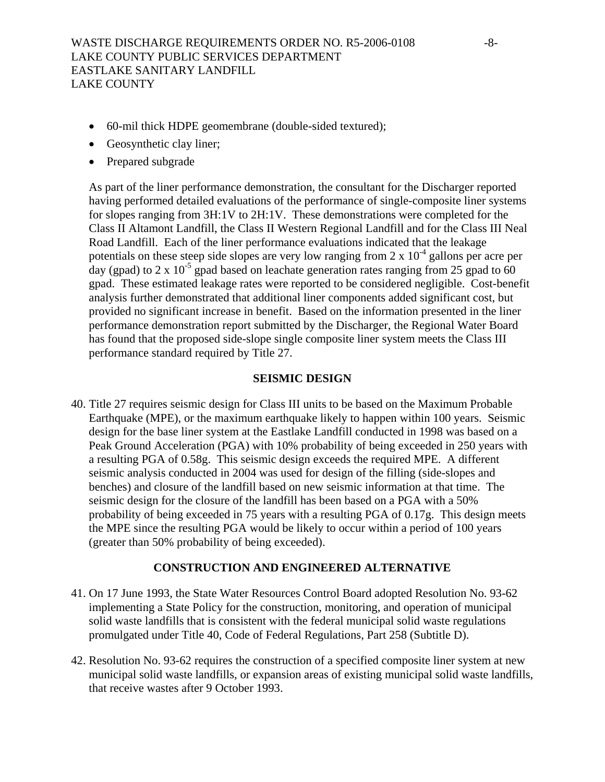- 60-mil thick HDPE geomembrane (double-sided textured);
- Geosynthetic clay liner;
- Prepared subgrade

As part of the liner performance demonstration, the consultant for the Discharger reported having performed detailed evaluations of the performance of single-composite liner systems for slopes ranging from 3H:1V to 2H:1V. These demonstrations were completed for the Class II Altamont Landfill, the Class II Western Regional Landfill and for the Class III Neal Road Landfill. Each of the liner performance evaluations indicated that the leakage potentials on these steep side slopes are very low ranging from  $2 \times 10^{-4}$  gallons per acre per day (gpad) to 2 x 10<sup>-5</sup> gpad based on leachate generation rates ranging from 25 gpad to 60 gpad. These estimated leakage rates were reported to be considered negligible. Cost-benefit analysis further demonstrated that additional liner components added significant cost, but provided no significant increase in benefit. Based on the information presented in the liner performance demonstration report submitted by the Discharger, the Regional Water Board has found that the proposed side-slope single composite liner system meets the Class III performance standard required by Title 27.

# **SEISMIC DESIGN**

40. Title 27 requires seismic design for Class III units to be based on the Maximum Probable Earthquake (MPE), or the maximum earthquake likely to happen within 100 years. Seismic design for the base liner system at the Eastlake Landfill conducted in 1998 was based on a Peak Ground Acceleration (PGA) with 10% probability of being exceeded in 250 years with a resulting PGA of 0.58g. This seismic design exceeds the required MPE. A different seismic analysis conducted in 2004 was used for design of the filling (side-slopes and benches) and closure of the landfill based on new seismic information at that time. The seismic design for the closure of the landfill has been based on a PGA with a 50% probability of being exceeded in 75 years with a resulting PGA of 0.17g. This design meets the MPE since the resulting PGA would be likely to occur within a period of 100 years (greater than 50% probability of being exceeded).

### **CONSTRUCTION AND ENGINEERED ALTERNATIVE**

- 41. On 17 June 1993, the State Water Resources Control Board adopted Resolution No. 93-62 implementing a State Policy for the construction, monitoring, and operation of municipal solid waste landfills that is consistent with the federal municipal solid waste regulations promulgated under Title 40, Code of Federal Regulations, Part 258 (Subtitle D).
- 42. Resolution No. 93-62 requires the construction of a specified composite liner system at new municipal solid waste landfills, or expansion areas of existing municipal solid waste landfills, that receive wastes after 9 October 1993.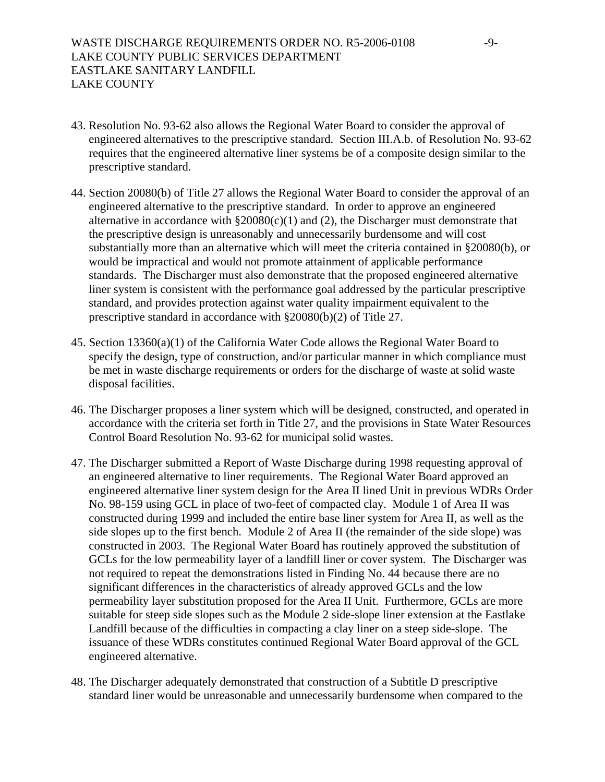- 43. Resolution No. 93-62 also allows the Regional Water Board to consider the approval of engineered alternatives to the prescriptive standard. Section III.A.b. of Resolution No. 93-62 requires that the engineered alternative liner systems be of a composite design similar to the prescriptive standard.
- <span id="page-8-0"></span>44. Section 20080(b) of Title 27 allows the Regional Water Board to consider the approval of an engineered alternative to the prescriptive standard. In order to approve an engineered alternative in accordance with  $\S 20080(c)(1)$  and (2), the Discharger must demonstrate that the prescriptive design is unreasonably and unnecessarily burdensome and will cost substantially more than an alternative which will meet the criteria contained in §20080(b), or would be impractical and would not promote attainment of applicable performance standards. The Discharger must also demonstrate that the proposed engineered alternative liner system is consistent with the performance goal addressed by the particular prescriptive standard, and provides protection against water quality impairment equivalent to the prescriptive standard in accordance with §20080(b)(2) of Title 27.
- 45. Section 13360(a)(1) of the California Water Code allows the Regional Water Board to specify the design, type of construction, and/or particular manner in which compliance must be met in waste discharge requirements or orders for the discharge of waste at solid waste disposal facilities.
- 46. The Discharger proposes a liner system which will be designed, constructed, and operated in accordance with the criteria set forth in Title 27, and the provisions in State Water Resources Control Board Resolution No. 93-62 for municipal solid wastes.
- 47. The Discharger submitted a Report of Waste Discharge during 1998 requesting approval of an engineered alternative to liner requirements. The Regional Water Board approved an engineered alternative liner system design for the Area II lined Unit in previous WDRs Order No. 98-159 using GCL in place of two-feet of compacted clay. Module 1 of Area II was constructed during 1999 and included the entire base liner system for Area II, as well as the side slopes up to the first bench. Module 2 of Area II (the remainder of the side slope) was constructed in 2003. The Regional Water Board has routinely approved the substitution of GCLs for the low permeability layer of a landfill liner or cover system. The Discharger was not required to repeat the demonstrations listed in Finding No. [44](#page-8-0) because there are no significant differences in the characteristics of already approved GCLs and the low permeability layer substitution proposed for the Area II Unit. Furthermore, GCLs are more suitable for steep side slopes such as the Module 2 side-slope liner extension at the Eastlake Landfill because of the difficulties in compacting a clay liner on a steep side-slope. The issuance of these WDRs constitutes continued Regional Water Board approval of the GCL engineered alternative.
- 48. The Discharger adequately demonstrated that construction of a Subtitle D prescriptive standard liner would be unreasonable and unnecessarily burdensome when compared to the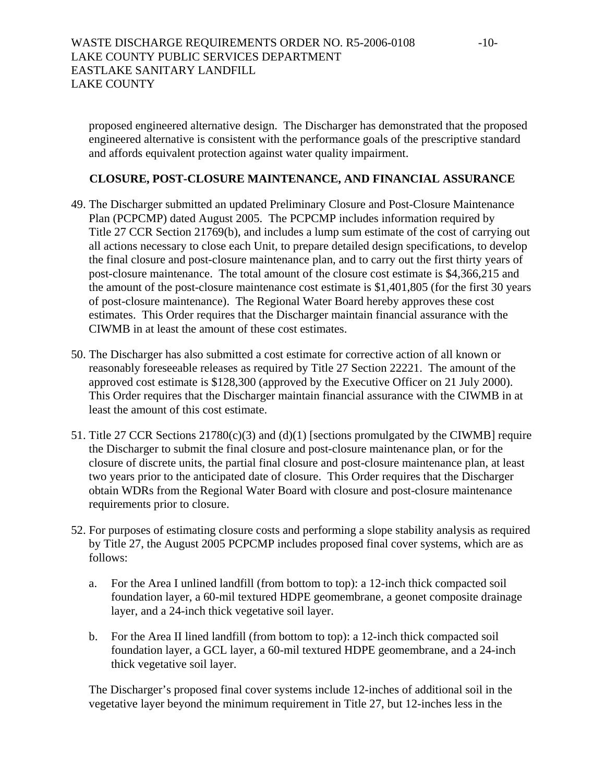proposed engineered alternative design. The Discharger has demonstrated that the proposed engineered alternative is consistent with the performance goals of the prescriptive standard and affords equivalent protection against water quality impairment.

# **CLOSURE, POST-CLOSURE MAINTENANCE, AND FINANCIAL ASSURANCE**

- 49. The Discharger submitted an updated Preliminary Closure and Post-Closure Maintenance Plan (PCPCMP) dated August 2005. The PCPCMP includes information required by Title 27 CCR Section 21769(b), and includes a lump sum estimate of the cost of carrying out all actions necessary to close each Unit, to prepare detailed design specifications, to develop the final closure and post-closure maintenance plan, and to carry out the first thirty years of post-closure maintenance. The total amount of the closure cost estimate is \$4,366,215 and the amount of the post-closure maintenance cost estimate is \$1,401,805 (for the first 30 years of post-closure maintenance). The Regional Water Board hereby approves these cost estimates. This Order requires that the Discharger maintain financial assurance with the CIWMB in at least the amount of these cost estimates.
- 50. The Discharger has also submitted a cost estimate for corrective action of all known or reasonably foreseeable releases as required by Title 27 Section 22221. The amount of the approved cost estimate is \$128,300 (approved by the Executive Officer on 21 July 2000). This Order requires that the Discharger maintain financial assurance with the CIWMB in at least the amount of this cost estimate.
- 51. Title 27 CCR Sections 21780(c)(3) and (d)(1) [sections promulgated by the CIWMB] require the Discharger to submit the final closure and post-closure maintenance plan, or for the closure of discrete units, the partial final closure and post-closure maintenance plan, at least two years prior to the anticipated date of closure. This Order requires that the Discharger obtain WDRs from the Regional Water Board with closure and post-closure maintenance requirements prior to closure.
- 52. For purposes of estimating closure costs and performing a slope stability analysis as required by Title 27, the August 2005 PCPCMP includes proposed final cover systems, which are as follows:
	- a. For the Area I unlined landfill (from bottom to top): a 12-inch thick compacted soil foundation layer, a 60-mil textured HDPE geomembrane, a geonet composite drainage layer, and a 24-inch thick vegetative soil layer.
	- b. For the Area II lined landfill (from bottom to top): a 12-inch thick compacted soil foundation layer, a GCL layer, a 60-mil textured HDPE geomembrane, and a 24-inch thick vegetative soil layer.

The Discharger's proposed final cover systems include 12-inches of additional soil in the vegetative layer beyond the minimum requirement in Title 27, but 12-inches less in the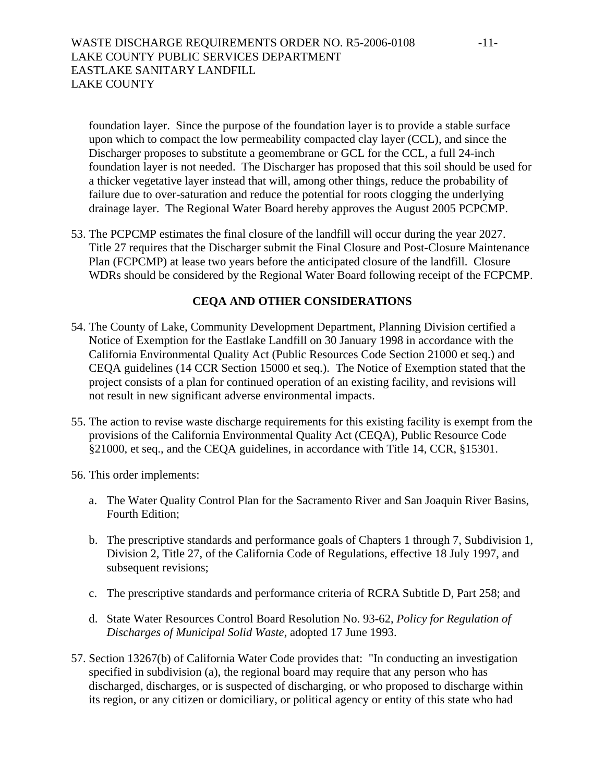foundation layer. Since the purpose of the foundation layer is to provide a stable surface upon which to compact the low permeability compacted clay layer (CCL), and since the Discharger proposes to substitute a geomembrane or GCL for the CCL, a full 24-inch foundation layer is not needed. The Discharger has proposed that this soil should be used for a thicker vegetative layer instead that will, among other things, reduce the probability of failure due to over-saturation and reduce the potential for roots clogging the underlying drainage layer. The Regional Water Board hereby approves the August 2005 PCPCMP.

53. The PCPCMP estimates the final closure of the landfill will occur during the year 2027. Title 27 requires that the Discharger submit the Final Closure and Post-Closure Maintenance Plan (FCPCMP) at lease two years before the anticipated closure of the landfill. Closure WDRs should be considered by the Regional Water Board following receipt of the FCPCMP.

# **CEQA AND OTHER CONSIDERATIONS**

- 54. The County of Lake, Community Development Department, Planning Division certified a Notice of Exemption for the Eastlake Landfill on 30 January 1998 in accordance with the California Environmental Quality Act (Public Resources Code Section 21000 et seq.) and CEQA guidelines (14 CCR Section 15000 et seq.). The Notice of Exemption stated that the project consists of a plan for continued operation of an existing facility, and revisions will not result in new significant adverse environmental impacts.
- 55. The action to revise waste discharge requirements for this existing facility is exempt from the provisions of the California Environmental Quality Act (CEQA), Public Resource Code §21000, et seq., and the CEQA guidelines, in accordance with Title 14, CCR, §15301.
- 56. This order implements:
	- a. The Water Quality Control Plan for the Sacramento River and San Joaquin River Basins, Fourth Edition;
	- b. The prescriptive standards and performance goals of Chapters 1 through 7, Subdivision 1, Division 2, Title 27, of the California Code of Regulations, effective 18 July 1997, and subsequent revisions;
	- c. The prescriptive standards and performance criteria of RCRA Subtitle D, Part 258; and
	- d. State Water Resources Control Board Resolution No. 93-62, *Policy for Regulation of Discharges of Municipal Solid Waste*, adopted 17 June 1993.
- 57. Section 13267(b) of California Water Code provides that: "In conducting an investigation specified in subdivision (a), the regional board may require that any person who has discharged, discharges, or is suspected of discharging, or who proposed to discharge within its region, or any citizen or domiciliary, or political agency or entity of this state who had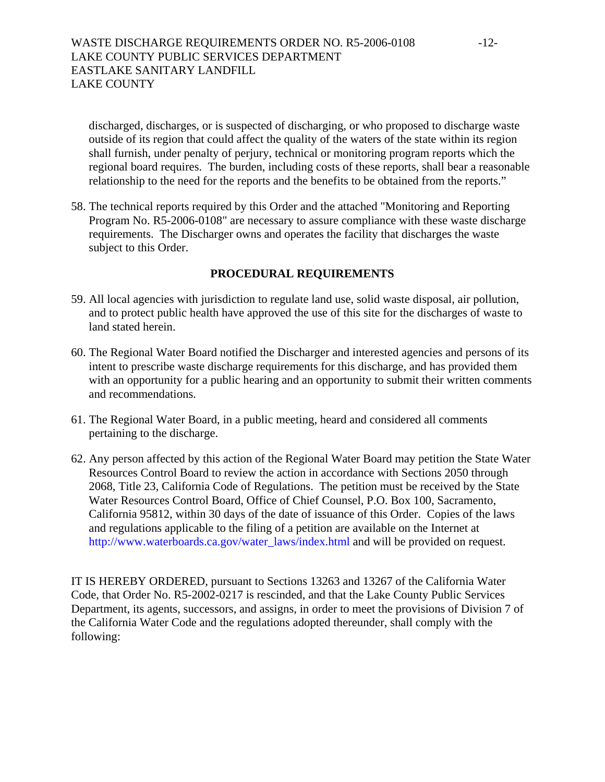discharged, discharges, or is suspected of discharging, or who proposed to discharge waste outside of its region that could affect the quality of the waters of the state within its region shall furnish, under penalty of perjury, technical or monitoring program reports which the regional board requires. The burden, including costs of these reports, shall bear a reasonable relationship to the need for the reports and the benefits to be obtained from the reports."

58. The technical reports required by this Order and the attached "Monitoring and Reporting Program No. R5-2006-0108" are necessary to assure compliance with these waste discharge requirements. The Discharger owns and operates the facility that discharges the waste subject to this Order.

# **PROCEDURAL REQUIREMENTS**

- 59. All local agencies with jurisdiction to regulate land use, solid waste disposal, air pollution, and to protect public health have approved the use of this site for the discharges of waste to land stated herein.
- 60. The Regional Water Board notified the Discharger and interested agencies and persons of its intent to prescribe waste discharge requirements for this discharge, and has provided them with an opportunity for a public hearing and an opportunity to submit their written comments and recommendations.
- 61. The Regional Water Board, in a public meeting, heard and considered all comments pertaining to the discharge.
- 62. Any person affected by this action of the Regional Water Board may petition the State Water Resources Control Board to review the action in accordance with Sections 2050 through 2068, Title 23, California Code of Regulations. The petition must be received by the State Water Resources Control Board, Office of Chief Counsel, P.O. Box 100, Sacramento, California 95812, within 30 days of the date of issuance of this Order. Copies of the laws and regulations applicable to the filing of a petition are available on the Internet at [http://www.waterboards.ca.gov/water\\_laws/index.html](http://www.waterboards.ca.gov/water_laws/index.html) and will be provided on request.

IT IS HEREBY ORDERED, pursuant to Sections 13263 and 13267 of the California Water Code, that Order No. R5-2002-0217 is rescinded, and that the Lake County Public Services Department, its agents, successors, and assigns, in order to meet the provisions of Division 7 of the California Water Code and the regulations adopted thereunder, shall comply with the following: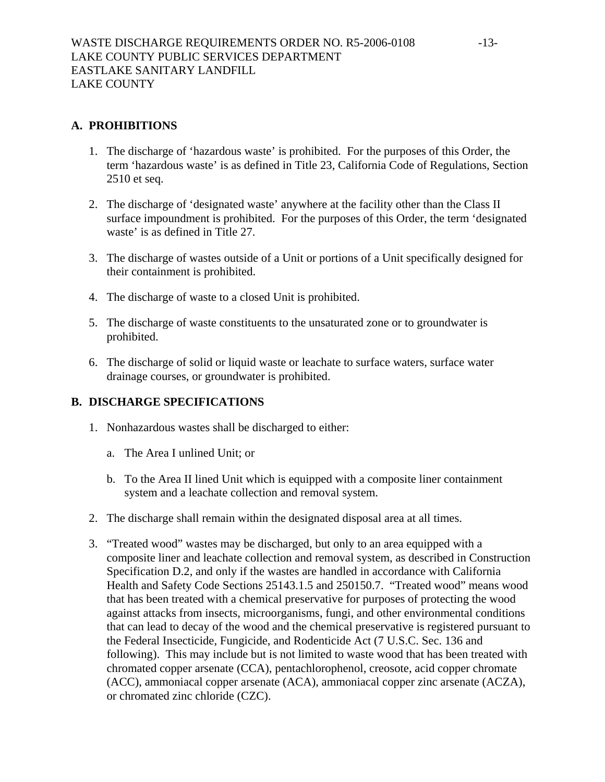# **A. PROHIBITIONS**

- 1. The discharge of 'hazardous waste' is prohibited. For the purposes of this Order, the term 'hazardous waste' is as defined in Title 23, California Code of Regulations, Section 2510 et seq.
- 2. The discharge of 'designated waste' anywhere at the facility other than the Class II surface impoundment is prohibited. For the purposes of this Order, the term 'designated waste' is as defined in Title 27.
- 3. The discharge of wastes outside of a Unit or portions of a Unit specifically designed for their containment is prohibited.
- 4. The discharge of waste to a closed Unit is prohibited.
- 5. The discharge of waste constituents to the unsaturated zone or to groundwater is prohibited.
- 6. The discharge of solid or liquid waste or leachate to surface waters, surface water drainage courses, or groundwater is prohibited.

# **B. DISCHARGE SPECIFICATIONS**

- 1. Nonhazardous wastes shall be discharged to either:
	- a. The Area I unlined Unit; or
	- b. To the Area II lined Unit which is equipped with a composite liner containment system and a leachate collection and removal system.
- 2. The discharge shall remain within the designated disposal area at all times.
- 3. "Treated wood" wastes may be discharged, but only to an area equipped with a composite liner and leachate collection and removal system, as described in Construction Specification D.2, and only if the wastes are handled in accordance with California Health and Safety Code Sections 25143.1.5 and 250150.7. "Treated wood" means wood that has been treated with a chemical preservative for purposes of protecting the wood against attacks from insects, microorganisms, fungi, and other environmental conditions that can lead to decay of the wood and the chemical preservative is registered pursuant to the Federal Insecticide, Fungicide, and Rodenticide Act (7 U.S.C. Sec. 136 and following). This may include but is not limited to waste wood that has been treated with chromated copper arsenate (CCA), pentachlorophenol, creosote, acid copper chromate (ACC), ammoniacal copper arsenate (ACA), ammoniacal copper zinc arsenate (ACZA), or chromated zinc chloride (CZC).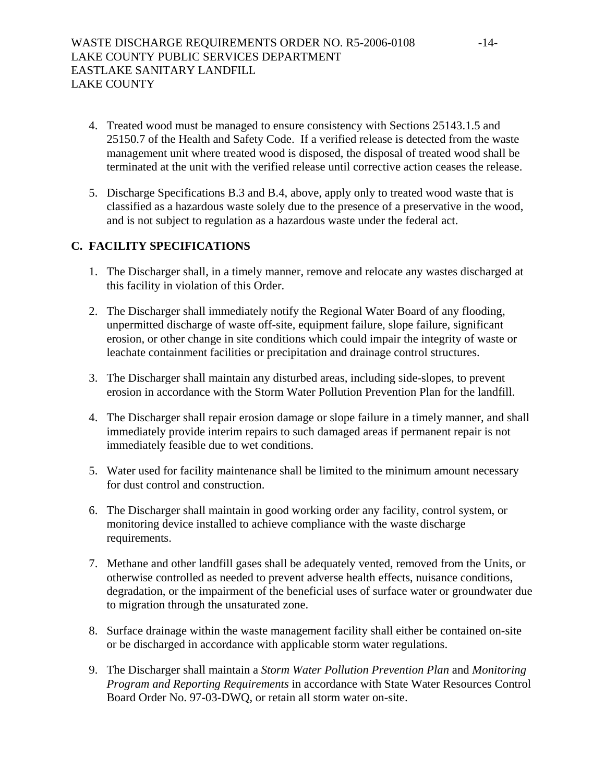- 4. Treated wood must be managed to ensure consistency with Sections 25143.1.5 and 25150.7 of the Health and Safety Code. If a verified release is detected from the waste management unit where treated wood is disposed, the disposal of treated wood shall be terminated at the unit with the verified release until corrective action ceases the release.
- 5. Discharge Specifications B.3 and B.4, above, apply only to treated wood waste that is classified as a hazardous waste solely due to the presence of a preservative in the wood, and is not subject to regulation as a hazardous waste under the federal act.

# **C. FACILITY SPECIFICATIONS**

- 1. The Discharger shall, in a timely manner, remove and relocate any wastes discharged at this facility in violation of this Order.
- 2. The Discharger shall immediately notify the Regional Water Board of any flooding, unpermitted discharge of waste off-site, equipment failure, slope failure, significant erosion, or other change in site conditions which could impair the integrity of waste or leachate containment facilities or precipitation and drainage control structures.
- 3. The Discharger shall maintain any disturbed areas, including side-slopes, to prevent erosion in accordance with the Storm Water Pollution Prevention Plan for the landfill.
- 4. The Discharger shall repair erosion damage or slope failure in a timely manner, and shall immediately provide interim repairs to such damaged areas if permanent repair is not immediately feasible due to wet conditions.
- 5. Water used for facility maintenance shall be limited to the minimum amount necessary for dust control and construction.
- 6. The Discharger shall maintain in good working order any facility, control system, or monitoring device installed to achieve compliance with the waste discharge requirements.
- 7. Methane and other landfill gases shall be adequately vented, removed from the Units, or otherwise controlled as needed to prevent adverse health effects, nuisance conditions, degradation, or the impairment of the beneficial uses of surface water or groundwater due to migration through the unsaturated zone.
- 8. Surface drainage within the waste management facility shall either be contained on-site or be discharged in accordance with applicable storm water regulations.
- 9. The Discharger shall maintain a *Storm Water Pollution Prevention Plan* and *Monitoring Program and Reporting Requirements* in accordance with State Water Resources Control Board Order No. 97-03-DWQ, or retain all storm water on-site.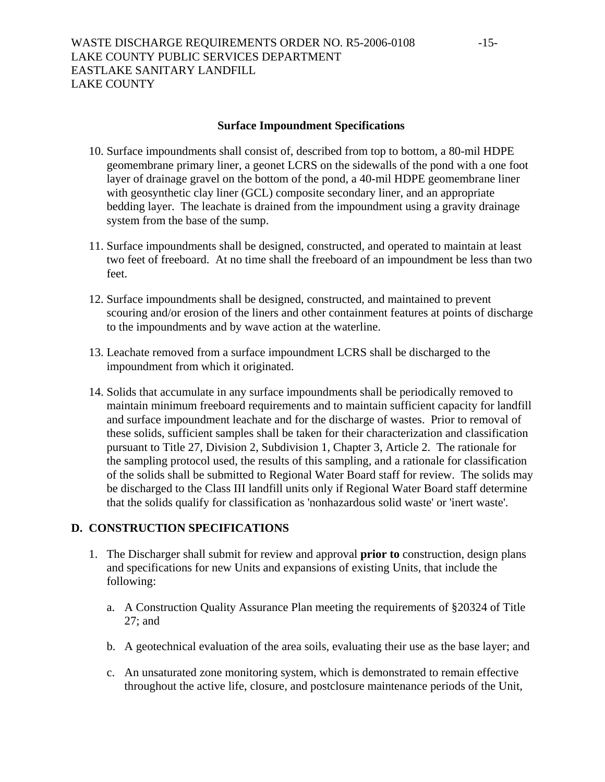# **Surface Impoundment Specifications**

- 10. Surface impoundments shall consist of, described from top to bottom, a 80-mil HDPE geomembrane primary liner, a geonet LCRS on the sidewalls of the pond with a one foot layer of drainage gravel on the bottom of the pond, a 40-mil HDPE geomembrane liner with geosynthetic clay liner (GCL) composite secondary liner, and an appropriate bedding layer. The leachate is drained from the impoundment using a gravity drainage system from the base of the sump.
- 11. Surface impoundments shall be designed, constructed, and operated to maintain at least two feet of freeboard. At no time shall the freeboard of an impoundment be less than two feet.
- 12. Surface impoundments shall be designed, constructed, and maintained to prevent scouring and/or erosion of the liners and other containment features at points of discharge to the impoundments and by wave action at the waterline.
- 13. Leachate removed from a surface impoundment LCRS shall be discharged to the impoundment from which it originated.
- 14. Solids that accumulate in any surface impoundments shall be periodically removed to maintain minimum freeboard requirements and to maintain sufficient capacity for landfill and surface impoundment leachate and for the discharge of wastes. Prior to removal of these solids, sufficient samples shall be taken for their characterization and classification pursuant to Title 27, Division 2, Subdivision 1, Chapter 3, Article 2. The rationale for the sampling protocol used, the results of this sampling, and a rationale for classification of the solids shall be submitted to Regional Water Board staff for review. The solids may be discharged to the Class III landfill units only if Regional Water Board staff determine that the solids qualify for classification as 'nonhazardous solid waste' or 'inert waste'.

# **D. CONSTRUCTION SPECIFICATIONS**

- 1. The Discharger shall submit for review and approval **prior to** construction, design plans and specifications for new Units and expansions of existing Units, that include the following:
	- a. A Construction Quality Assurance Plan meeting the requirements of §20324 of Title 27; and
	- b. A geotechnical evaluation of the area soils, evaluating their use as the base layer; and
	- c. An unsaturated zone monitoring system, which is demonstrated to remain effective throughout the active life, closure, and postclosure maintenance periods of the Unit,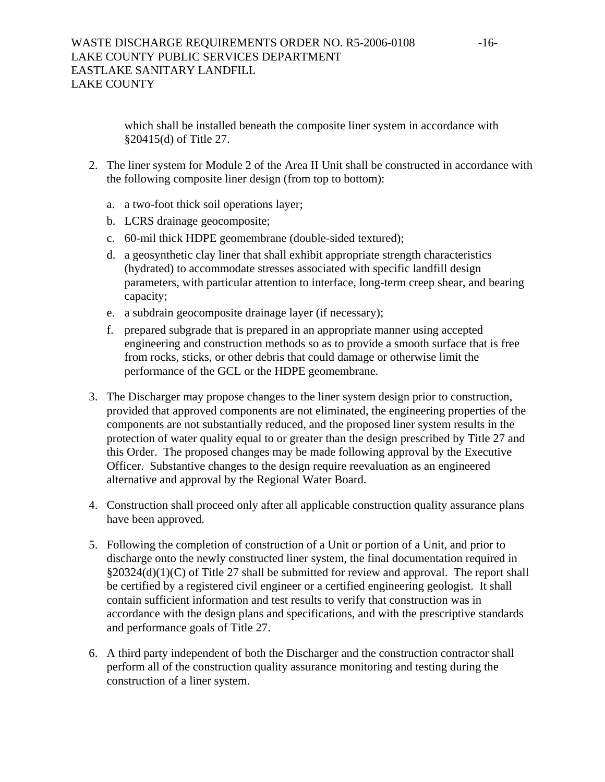which shall be installed beneath the composite liner system in accordance with §20415(d) of Title 27.

- 2. The liner system for Module 2 of the Area II Unit shall be constructed in accordance with the following composite liner design (from top to bottom):
	- a. a two-foot thick soil operations layer;
	- b. LCRS drainage geocomposite;
	- c. 60-mil thick HDPE geomembrane (double-sided textured);
	- d. a geosynthetic clay liner that shall exhibit appropriate strength characteristics (hydrated) to accommodate stresses associated with specific landfill design parameters, with particular attention to interface, long-term creep shear, and bearing capacity;
	- e. a subdrain geocomposite drainage layer (if necessary);
	- f. prepared subgrade that is prepared in an appropriate manner using accepted engineering and construction methods so as to provide a smooth surface that is free from rocks, sticks, or other debris that could damage or otherwise limit the performance of the GCL or the HDPE geomembrane.
- 3. The Discharger may propose changes to the liner system design prior to construction, provided that approved components are not eliminated, the engineering properties of the components are not substantially reduced, and the proposed liner system results in the protection of water quality equal to or greater than the design prescribed by Title 27 and this Order. The proposed changes may be made following approval by the Executive Officer. Substantive changes to the design require reevaluation as an engineered alternative and approval by the Regional Water Board.
- 4. Construction shall proceed only after all applicable construction quality assurance plans have been approved.
- 5. Following the completion of construction of a Unit or portion of a Unit, and prior to discharge onto the newly constructed liner system, the final documentation required in §20324(d)(1)(C) of Title 27 shall be submitted for review and approval. The report shall be certified by a registered civil engineer or a certified engineering geologist. It shall contain sufficient information and test results to verify that construction was in accordance with the design plans and specifications, and with the prescriptive standards and performance goals of Title 27.
- 6. A third party independent of both the Discharger and the construction contractor shall perform all of the construction quality assurance monitoring and testing during the construction of a liner system.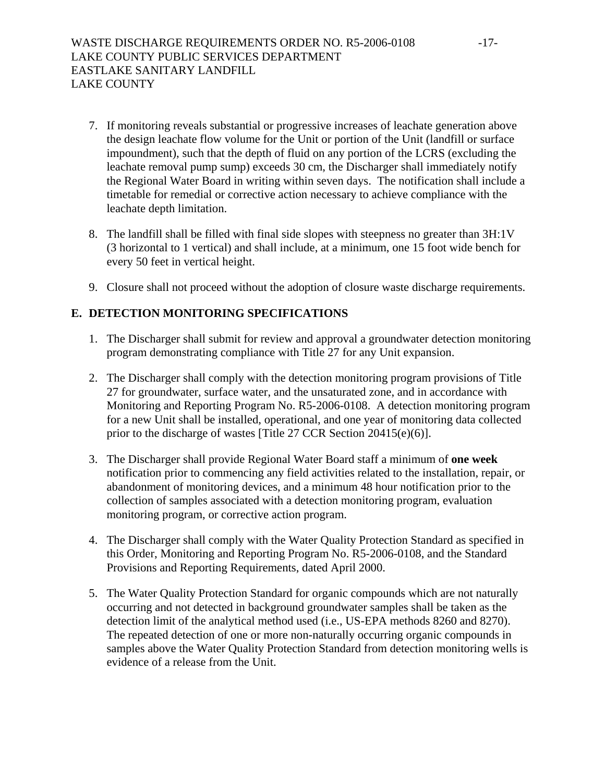- 7. If monitoring reveals substantial or progressive increases of leachate generation above the design leachate flow volume for the Unit or portion of the Unit (landfill or surface impoundment), such that the depth of fluid on any portion of the LCRS (excluding the leachate removal pump sump) exceeds 30 cm, the Discharger shall immediately notify the Regional Water Board in writing within seven days. The notification shall include a timetable for remedial or corrective action necessary to achieve compliance with the leachate depth limitation.
- 8. The landfill shall be filled with final side slopes with steepness no greater than 3H:1V (3 horizontal to 1 vertical) and shall include, at a minimum, one 15 foot wide bench for every 50 feet in vertical height.
- 9. Closure shall not proceed without the adoption of closure waste discharge requirements.

# **E. DETECTION MONITORING SPECIFICATIONS**

- 1. The Discharger shall submit for review and approval a groundwater detection monitoring program demonstrating compliance with Title 27 for any Unit expansion.
- 2. The Discharger shall comply with the detection monitoring program provisions of Title 27 for groundwater, surface water, and the unsaturated zone, and in accordance with Monitoring and Reporting Program No. R5-2006-0108. A detection monitoring program for a new Unit shall be installed, operational, and one year of monitoring data collected prior to the discharge of wastes [Title 27 CCR Section 20415(e)(6)].
- 3. The Discharger shall provide Regional Water Board staff a minimum of **one week** notification prior to commencing any field activities related to the installation, repair, or abandonment of monitoring devices, and a minimum 48 hour notification prior to the collection of samples associated with a detection monitoring program, evaluation monitoring program, or corrective action program.
- 4. The Discharger shall comply with the Water Quality Protection Standard as specified in this Order, Monitoring and Reporting Program No. R5-2006-0108, and the Standard Provisions and Reporting Requirements, dated April 2000.
- 5. The Water Quality Protection Standard for organic compounds which are not naturally occurring and not detected in background groundwater samples shall be taken as the detection limit of the analytical method used (i.e., US-EPA methods 8260 and 8270). The repeated detection of one or more non-naturally occurring organic compounds in samples above the Water Quality Protection Standard from detection monitoring wells is evidence of a release from the Unit.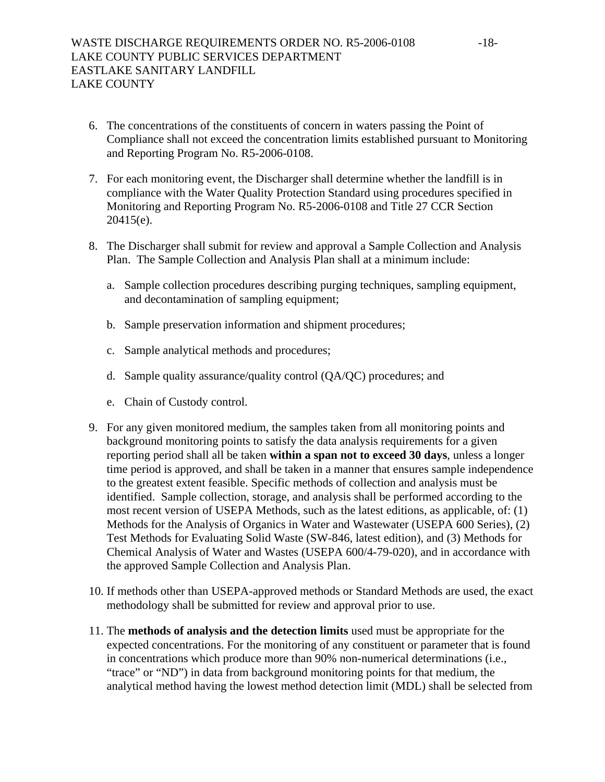- 6. The concentrations of the constituents of concern in waters passing the Point of Compliance shall not exceed the concentration limits established pursuant to Monitoring and Reporting Program No. R5-2006-0108.
- 7. For each monitoring event, the Discharger shall determine whether the landfill is in compliance with the Water Quality Protection Standard using procedures specified in Monitoring and Reporting Program No. R5-2006-0108 and Title 27 CCR Section 20415(e).
- 8. The Discharger shall submit for review and approval a Sample Collection and Analysis Plan. The Sample Collection and Analysis Plan shall at a minimum include:
	- a. Sample collection procedures describing purging techniques, sampling equipment, and decontamination of sampling equipment;
	- b. Sample preservation information and shipment procedures;
	- c. Sample analytical methods and procedures;
	- d. Sample quality assurance/quality control (QA/QC) procedures; and
	- e. Chain of Custody control.
- 9. For any given monitored medium, the samples taken from all monitoring points and background monitoring points to satisfy the data analysis requirements for a given reporting period shall all be taken **within a span not to exceed 30 days**, unless a longer time period is approved, and shall be taken in a manner that ensures sample independence to the greatest extent feasible. Specific methods of collection and analysis must be identified. Sample collection, storage, and analysis shall be performed according to the most recent version of USEPA Methods, such as the latest editions, as applicable, of: (1) Methods for the Analysis of Organics in Water and Wastewater (USEPA 600 Series), (2) Test Methods for Evaluating Solid Waste (SW-846, latest edition), and (3) Methods for Chemical Analysis of Water and Wastes (USEPA 600/4-79-020), and in accordance with the approved Sample Collection and Analysis Plan.
- 10. If methods other than USEPA-approved methods or Standard Methods are used, the exact methodology shall be submitted for review and approval prior to use.
- 11. The **methods of analysis and the detection limits** used must be appropriate for the expected concentrations. For the monitoring of any constituent or parameter that is found in concentrations which produce more than 90% non-numerical determinations (i.e., "trace" or "ND") in data from background monitoring points for that medium, the analytical method having the lowest method detection limit (MDL) shall be selected from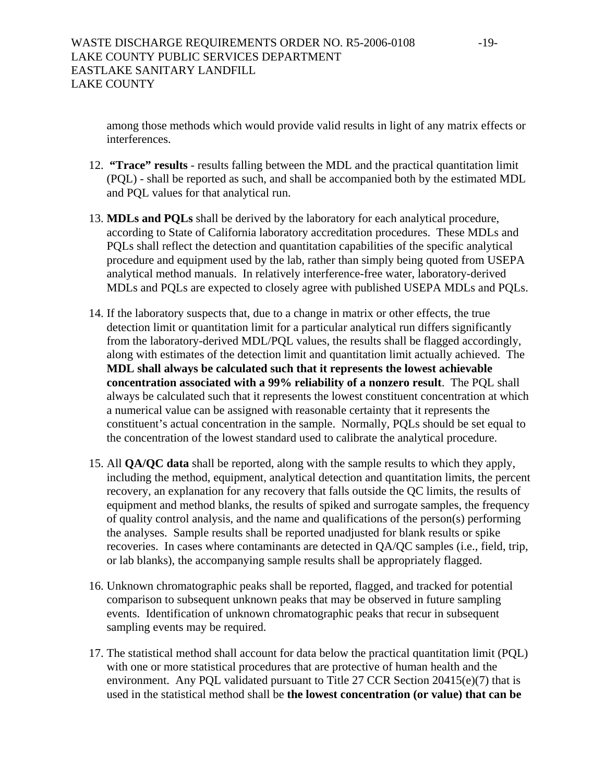among those methods which would provide valid results in light of any matrix effects or interferences.

- 12. **"Trace" results** results falling between the MDL and the practical quantitation limit (PQL) - shall be reported as such, and shall be accompanied both by the estimated MDL and PQL values for that analytical run.
- 13. **MDLs and PQLs** shall be derived by the laboratory for each analytical procedure, according to State of California laboratory accreditation procedures. These MDLs and PQLs shall reflect the detection and quantitation capabilities of the specific analytical procedure and equipment used by the lab, rather than simply being quoted from USEPA analytical method manuals. In relatively interference-free water, laboratory-derived MDLs and PQLs are expected to closely agree with published USEPA MDLs and PQLs.
- 14. If the laboratory suspects that, due to a change in matrix or other effects, the true detection limit or quantitation limit for a particular analytical run differs significantly from the laboratory-derived MDL/PQL values, the results shall be flagged accordingly, along with estimates of the detection limit and quantitation limit actually achieved. The **MDL shall always be calculated such that it represents the lowest achievable concentration associated with a 99% reliability of a nonzero result**. The PQL shall always be calculated such that it represents the lowest constituent concentration at which a numerical value can be assigned with reasonable certainty that it represents the constituent's actual concentration in the sample. Normally, PQLs should be set equal to the concentration of the lowest standard used to calibrate the analytical procedure.
- 15. All **QA/QC data** shall be reported, along with the sample results to which they apply, including the method, equipment, analytical detection and quantitation limits, the percent recovery, an explanation for any recovery that falls outside the QC limits, the results of equipment and method blanks, the results of spiked and surrogate samples, the frequency of quality control analysis, and the name and qualifications of the person(s) performing the analyses. Sample results shall be reported unadjusted for blank results or spike recoveries. In cases where contaminants are detected in QA/QC samples (i.e., field, trip, or lab blanks), the accompanying sample results shall be appropriately flagged.
- 16. Unknown chromatographic peaks shall be reported, flagged, and tracked for potential comparison to subsequent unknown peaks that may be observed in future sampling events. Identification of unknown chromatographic peaks that recur in subsequent sampling events may be required.
- 17. The statistical method shall account for data below the practical quantitation limit (PQL) with one or more statistical procedures that are protective of human health and the environment. Any PQL validated pursuant to Title 27 CCR Section 20415(e)(7) that is used in the statistical method shall be **the lowest concentration (or value) that can be**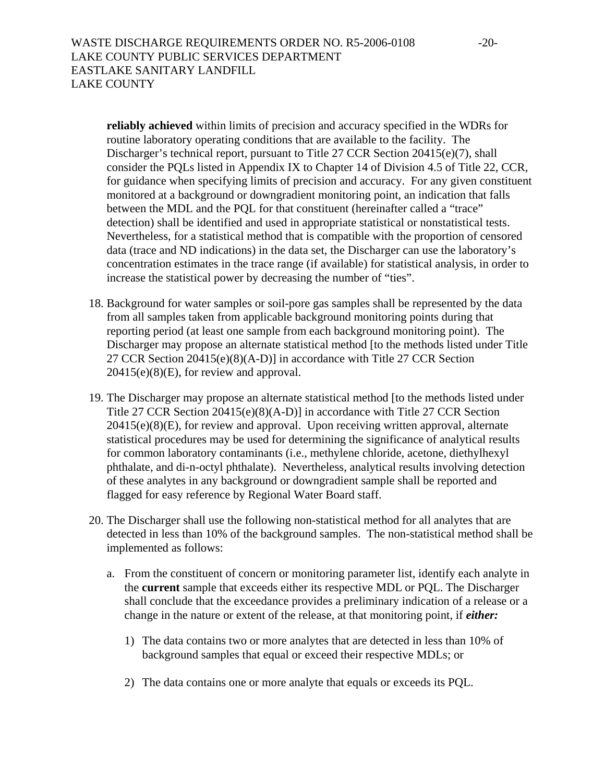**reliably achieved** within limits of precision and accuracy specified in the WDRs for routine laboratory operating conditions that are available to the facility. The Discharger's technical report, pursuant to Title 27 CCR Section 20415(e)(7), shall consider the PQLs listed in Appendix IX to Chapter 14 of Division 4.5 of Title 22, CCR, for guidance when specifying limits of precision and accuracy. For any given constituent monitored at a background or downgradient monitoring point, an indication that falls between the MDL and the PQL for that constituent (hereinafter called a "trace" detection) shall be identified and used in appropriate statistical or nonstatistical tests. Nevertheless, for a statistical method that is compatible with the proportion of censored data (trace and ND indications) in the data set, the Discharger can use the laboratory's concentration estimates in the trace range (if available) for statistical analysis, in order to increase the statistical power by decreasing the number of "ties".

- 18. Background for water samples or soil-pore gas samples shall be represented by the data from all samples taken from applicable background monitoring points during that reporting period (at least one sample from each background monitoring point). The Discharger may propose an alternate statistical method [to the methods listed under Title 27 CCR Section 20415(e)(8)(A-D)] in accordance with Title 27 CCR Section  $20415(e)(8)(E)$ , for review and approval.
- 19. The Discharger may propose an alternate statistical method [to the methods listed under Title 27 CCR Section 20415(e)(8)(A-D)] in accordance with Title 27 CCR Section 20415(e)(8)(E), for review and approval. Upon receiving written approval, alternate statistical procedures may be used for determining the significance of analytical results for common laboratory contaminants (i.e., methylene chloride, acetone, diethylhexyl phthalate, and di-n-octyl phthalate). Nevertheless, analytical results involving detection of these analytes in any background or downgradient sample shall be reported and flagged for easy reference by Regional Water Board staff.
- 20. The Discharger shall use the following non-statistical method for all analytes that are detected in less than 10% of the background samples. The non-statistical method shall be implemented as follows:
	- a. From the constituent of concern or monitoring parameter list, identify each analyte in the **current** sample that exceeds either its respective MDL or PQL. The Discharger shall conclude that the exceedance provides a preliminary indication of a release or a change in the nature or extent of the release, at that monitoring point, if *either:* 
		- 1) The data contains two or more analytes that are detected in less than 10% of background samples that equal or exceed their respective MDLs; or
		- 2) The data contains one or more analyte that equals or exceeds its PQL.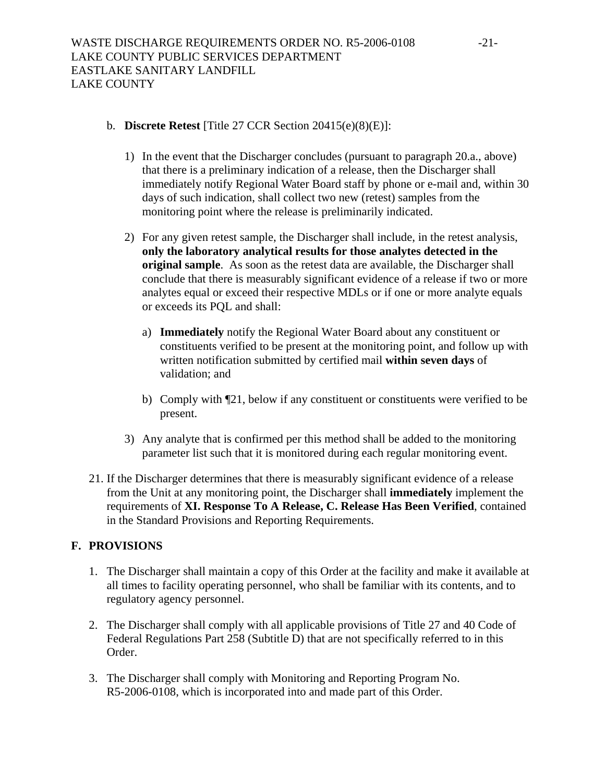# b. **Discrete Retest** [Title 27 CCR Section 20415(e)(8)(E)]:

- 1) In the event that the Discharger concludes (pursuant to paragraph 20.a., above) that there is a preliminary indication of a release, then the Discharger shall immediately notify Regional Water Board staff by phone or e-mail and, within 30 days of such indication, shall collect two new (retest) samples from the monitoring point where the release is preliminarily indicated.
- 2) For any given retest sample, the Discharger shall include, in the retest analysis, **only the laboratory analytical results for those analytes detected in the original sample**. As soon as the retest data are available, the Discharger shall conclude that there is measurably significant evidence of a release if two or more analytes equal or exceed their respective MDLs or if one or more analyte equals or exceeds its PQL and shall:
	- a) **Immediately** notify the Regional Water Board about any constituent or constituents verified to be present at the monitoring point, and follow up with written notification submitted by certified mail **within seven days** of validation; and
	- b) Comply with ¶21, below if any constituent or constituents were verified to be present.
- 3) Any analyte that is confirmed per this method shall be added to the monitoring parameter list such that it is monitored during each regular monitoring event.
- 21. If the Discharger determines that there is measurably significant evidence of a release from the Unit at any monitoring point, the Discharger shall **immediately** implement the requirements of **XI. Response To A Release, C. Release Has Been Verified**, contained in the Standard Provisions and Reporting Requirements.

# **F. PROVISIONS**

- 1. The Discharger shall maintain a copy of this Order at the facility and make it available at all times to facility operating personnel, who shall be familiar with its contents, and to regulatory agency personnel.
- 2. The Discharger shall comply with all applicable provisions of Title 27 and 40 Code of Federal Regulations Part 258 (Subtitle D) that are not specifically referred to in this Order.
- 3. The Discharger shall comply with Monitoring and Reporting Program No. R5-2006-0108, which is incorporated into and made part of this Order.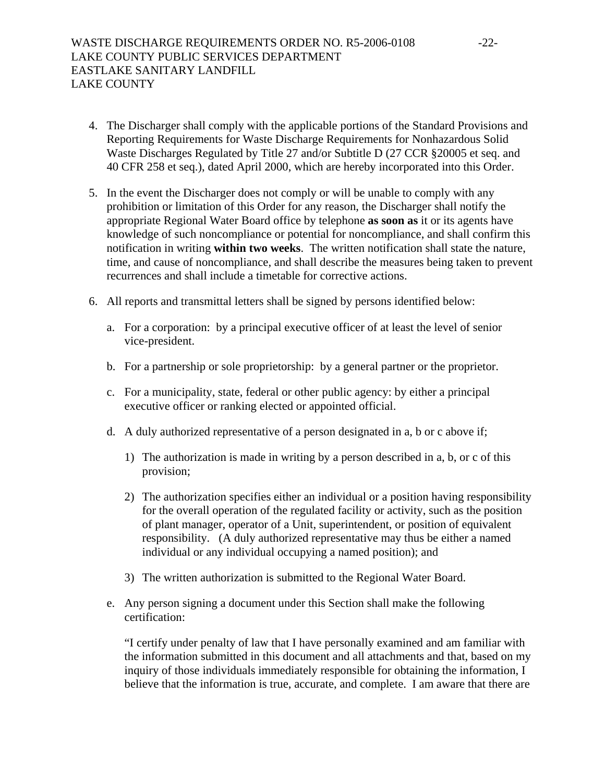- 4. The Discharger shall comply with the applicable portions of the Standard Provisions and Reporting Requirements for Waste Discharge Requirements for Nonhazardous Solid Waste Discharges Regulated by Title 27 and/or Subtitle D (27 CCR §20005 et seq. and 40 CFR 258 et seq.), dated April 2000, which are hereby incorporated into this Order.
- 5. In the event the Discharger does not comply or will be unable to comply with any prohibition or limitation of this Order for any reason, the Discharger shall notify the appropriate Regional Water Board office by telephone **as soon as** it or its agents have knowledge of such noncompliance or potential for noncompliance, and shall confirm this notification in writing **within two weeks**. The written notification shall state the nature, time, and cause of noncompliance, and shall describe the measures being taken to prevent recurrences and shall include a timetable for corrective actions.
- <span id="page-21-0"></span>6. All reports and transmittal letters shall be signed by persons identified below:
	- a. For a corporation: by a principal executive officer of at least the level of senior vice-president.
	- b. For a partnership or sole proprietorship: by a general partner or the proprietor.
	- c. For a municipality, state, federal or other public agency: by either a principal executive officer or ranking elected or appointed official.
	- d. A duly authorized representative of a person designated in a, b or c above if;
		- 1) The authorization is made in writing by a person described in a, b, or c of this provision;
		- 2) The authorization specifies either an individual or a position having responsibility for the overall operation of the regulated facility or activity, such as the position of plant manager, operator of a Unit, superintendent, or position of equivalent responsibility. (A duly authorized representative may thus be either a named individual or any individual occupying a named position); and
		- 3) The written authorization is submitted to the Regional Water Board.
	- e. Any person signing a document under this Section shall make the following certification:

"I certify under penalty of law that I have personally examined and am familiar with the information submitted in this document and all attachments and that, based on my inquiry of those individuals immediately responsible for obtaining the information, I believe that the information is true, accurate, and complete. I am aware that there are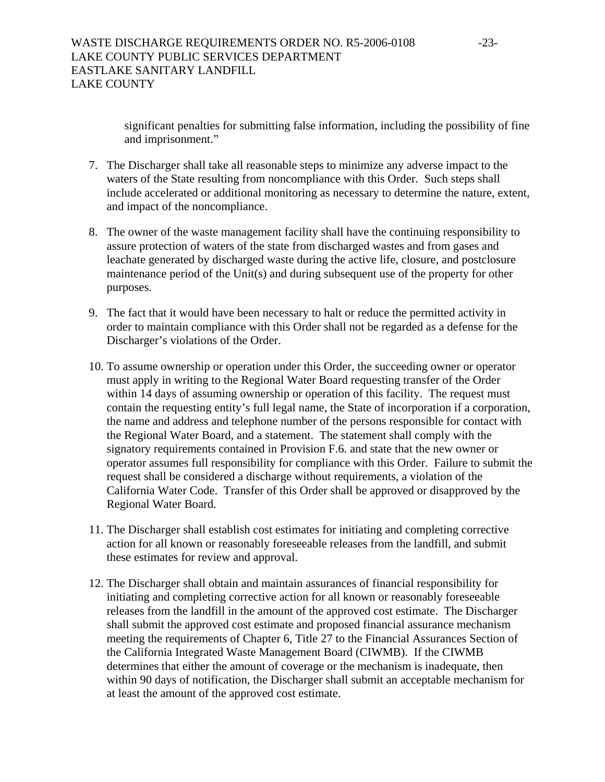significant penalties for submitting false information, including the possibility of fine and imprisonment."

- 7. The Discharger shall take all reasonable steps to minimize any adverse impact to the waters of the State resulting from noncompliance with this Order. Such steps shall include accelerated or additional monitoring as necessary to determine the nature, extent, and impact of the noncompliance.
- 8. The owner of the waste management facility shall have the continuing responsibility to assure protection of waters of the state from discharged wastes and from gases and leachate generated by discharged waste during the active life, closure, and postclosure maintenance period of the Unit(s) and during subsequent use of the property for other purposes.
- 9. The fact that it would have been necessary to halt or reduce the permitted activity in order to maintain compliance with this Order shall not be regarded as a defense for the Discharger's violations of the Order.
- 10. To assume ownership or operation under this Order, the succeeding owner or operator must apply in writing to the Regional Water Board requesting transfer of the Order within 14 days of assuming ownership or operation of this facility. The request must contain the requesting entity's full legal name, the State of incorporation if a corporation, the name and address and telephone number of the persons responsible for contact with the Regional Water Board, and a statement. The statement shall comply with the signatory requirements contained in Provision F[.6](#page-21-0). and state that the new owner or operator assumes full responsibility for compliance with this Order. Failure to submit the request shall be considered a discharge without requirements, a violation of the California Water Code. Transfer of this Order shall be approved or disapproved by the Regional Water Board.
- 11. The Discharger shall establish cost estimates for initiating and completing corrective action for all known or reasonably foreseeable releases from the landfill, and submit these estimates for review and approval.
- 12. The Discharger shall obtain and maintain assurances of financial responsibility for initiating and completing corrective action for all known or reasonably foreseeable releases from the landfill in the amount of the approved cost estimate. The Discharger shall submit the approved cost estimate and proposed financial assurance mechanism meeting the requirements of Chapter 6, Title 27 to the Financial Assurances Section of the California Integrated Waste Management Board (CIWMB). If the CIWMB determines that either the amount of coverage or the mechanism is inadequate, then within 90 days of notification, the Discharger shall submit an acceptable mechanism for at least the amount of the approved cost estimate.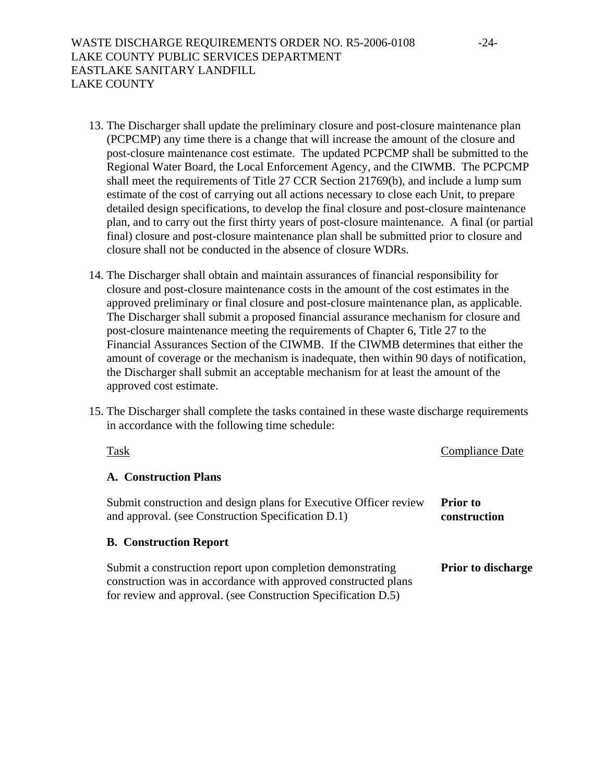- 13. The Discharger shall update the preliminary closure and post-closure maintenance plan (PCPCMP) any time there is a change that will increase the amount of the closure and post-closure maintenance cost estimate. The updated PCPCMP shall be submitted to the Regional Water Board, the Local Enforcement Agency, and the CIWMB. The PCPCMP shall meet the requirements of Title 27 CCR Section 21769(b), and include a lump sum estimate of the cost of carrying out all actions necessary to close each Unit, to prepare detailed design specifications, to develop the final closure and post-closure maintenance plan, and to carry out the first thirty years of post-closure maintenance. A final (or partial final) closure and post-closure maintenance plan shall be submitted prior to closure and closure shall not be conducted in the absence of closure WDRs.
- 14. The Discharger shall obtain and maintain assurances of financial responsibility for closure and post-closure maintenance costs in the amount of the cost estimates in the approved preliminary or final closure and post-closure maintenance plan, as applicable. The Discharger shall submit a proposed financial assurance mechanism for closure and post-closure maintenance meeting the requirements of Chapter 6, Title 27 to the Financial Assurances Section of the CIWMB. If the CIWMB determines that either the amount of coverage or the mechanism is inadequate, then within 90 days of notification, the Discharger shall submit an acceptable mechanism for at least the amount of the approved cost estimate.
- 15. The Discharger shall complete the tasks contained in these waste discharge requirements in accordance with the following time schedule:

| Task                                                                                                                         | <b>Compliance Date</b>          |
|------------------------------------------------------------------------------------------------------------------------------|---------------------------------|
| A. Construction Plans                                                                                                        |                                 |
| Submit construction and design plans for Executive Officer review<br>and approval. (see Construction Specification D.1)      | <b>Prior</b> to<br>construction |
| <b>B.</b> Construction Report                                                                                                |                                 |
| Submit a construction report upon completion demonstrating<br>construction was in accordance with approved constructed plans | <b>Prior to discharge</b>       |

for review and approval. (see Construction Specification D.5)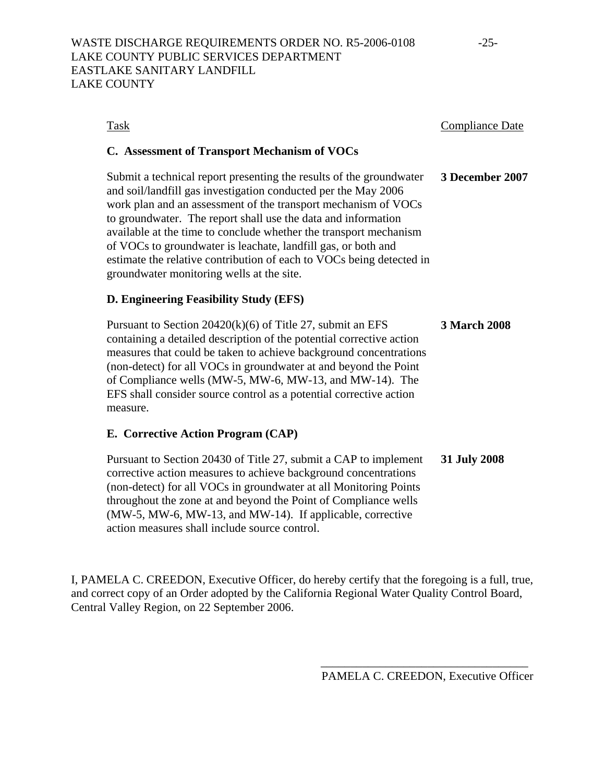| Task                                                                                                                                                                                                                                                                                                                                                                                                                                                                                                                                | <b>Compliance Date</b> |
|-------------------------------------------------------------------------------------------------------------------------------------------------------------------------------------------------------------------------------------------------------------------------------------------------------------------------------------------------------------------------------------------------------------------------------------------------------------------------------------------------------------------------------------|------------------------|
| C. Assessment of Transport Mechanism of VOCs                                                                                                                                                                                                                                                                                                                                                                                                                                                                                        |                        |
| Submit a technical report presenting the results of the groundwater<br>and soil/landfill gas investigation conducted per the May 2006<br>work plan and an assessment of the transport mechanism of VOCs<br>to groundwater. The report shall use the data and information<br>available at the time to conclude whether the transport mechanism<br>of VOCs to groundwater is leachate, landfill gas, or both and<br>estimate the relative contribution of each to VOCs being detected in<br>groundwater monitoring wells at the site. | 3 December 2007        |
| D. Engineering Feasibility Study (EFS)                                                                                                                                                                                                                                                                                                                                                                                                                                                                                              |                        |
| Pursuant to Section $20420(k)(6)$ of Title 27, submit an EFS<br>containing a detailed description of the potential corrective action<br>measures that could be taken to achieve background concentrations<br>(non-detect) for all VOCs in groundwater at and beyond the Point<br>of Compliance wells (MW-5, MW-6, MW-13, and MW-14). The<br>EFS shall consider source control as a potential corrective action<br>measure.                                                                                                          | <b>3 March 2008</b>    |
| E. Corrective Action Program (CAP)                                                                                                                                                                                                                                                                                                                                                                                                                                                                                                  |                        |
| Pursuant to Section 20430 of Title 27, submit a CAP to implement<br>corrective action measures to achieve background concentrations<br>(non-detect) for all VOCs in groundwater at all Monitoring Points<br>throughout the zone at and beyond the Point of Compliance wells                                                                                                                                                                                                                                                         | 31 July 2008           |

I, PAMELA C. CREEDON, Executive Officer, do hereby certify that the foregoing is a full, true, and correct copy of an Order adopted by the California Regional Water Quality Control Board, Central Valley Region, on 22 September 2006.

(MW-5, MW-6, MW-13, and MW-14). If applicable, corrective

action measures shall include source control.

\_\_\_\_\_\_\_\_\_\_\_\_\_\_\_\_\_\_\_\_\_\_\_\_\_\_\_\_\_\_\_\_\_\_\_ PAMELA C. CREEDON, Executive Officer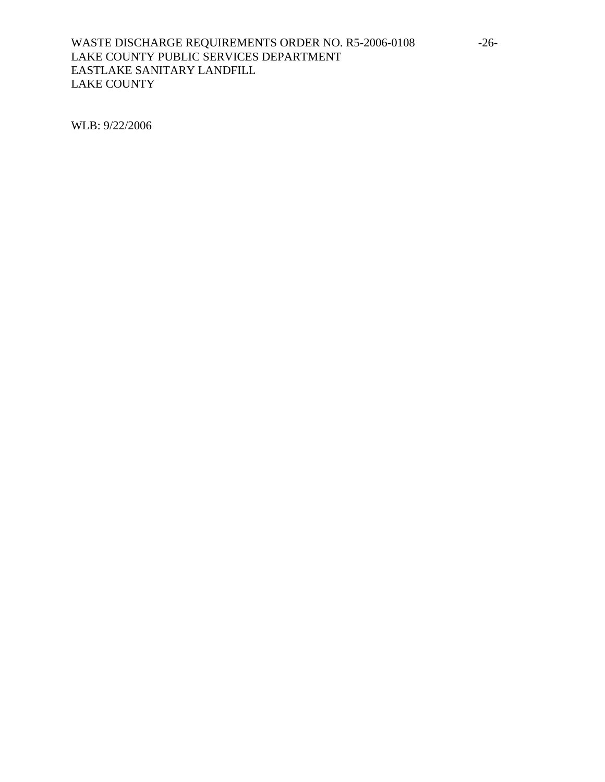# WASTE DISCHARGE REQUIREMENTS ORDER NO. R5-2006-0108 -26-LAKE COUNTY PUBLIC SERVICES DEPARTMENT EASTLAKE SANITARY LANDFILL LAKE COUNTY

WLB: 9/22/2006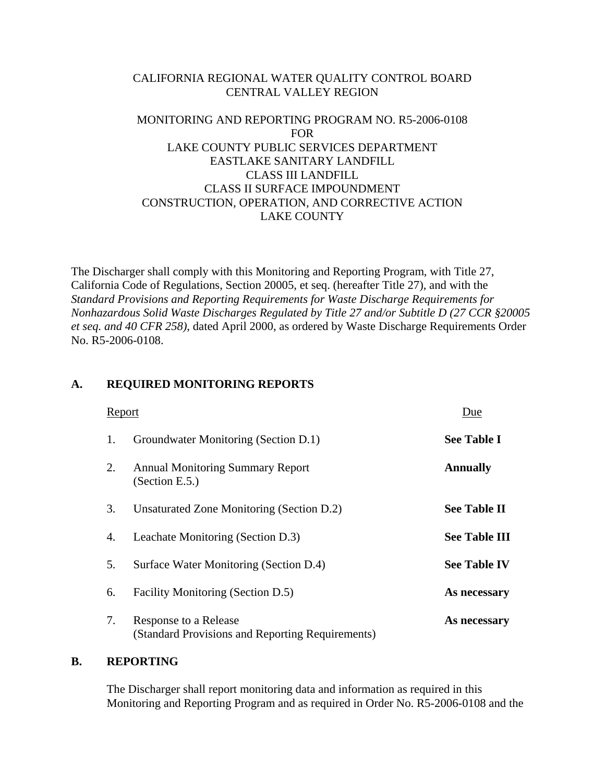# CALIFORNIA REGIONAL WATER QUALITY CONTROL BOARD CENTRAL VALLEY REGION

# MONITORING AND REPORTING PROGRAM NO. R5-2006-0108 FOR LAKE COUNTY PUBLIC SERVICES DEPARTMENT EASTLAKE SANITARY LANDFILL CLASS III LANDFILL CLASS II SURFACE IMPOUNDMENT CONSTRUCTION, OPERATION, AND CORRECTIVE ACTION LAKE COUNTY

The Discharger shall comply with this Monitoring and Reporting Program, with Title 27, California Code of Regulations, Section 20005, et seq. (hereafter Title 27), and with the *Standard Provisions and Reporting Requirements for Waste Discharge Requirements for Nonhazardous Solid Waste Discharges Regulated by Title 27 and/or Subtitle D (27 CCR §20005 et seq. and 40 CFR 258)*, dated April 2000, as ordered by Waste Discharge Requirements Order No. R5-2006-0108.

# **A. REQUIRED MONITORING REPORTS**

| Report |                                                                           | Due                  |
|--------|---------------------------------------------------------------------------|----------------------|
| 1.     | Groundwater Monitoring (Section D.1)                                      | <b>See Table I</b>   |
| 2.     | <b>Annual Monitoring Summary Report</b><br>(Section E.5.)                 | <b>Annually</b>      |
| 3.     | Unsaturated Zone Monitoring (Section D.2)                                 | <b>See Table II</b>  |
| 4.     | Leachate Monitoring (Section D.3)                                         | <b>See Table III</b> |
| 5.     | Surface Water Monitoring (Section D.4)                                    | <b>See Table IV</b>  |
| 6.     | Facility Monitoring (Section D.5)                                         | As necessary         |
| 7.     | Response to a Release<br>(Standard Provisions and Reporting Requirements) | As necessary         |

# **B. REPORTING**

 The Discharger shall report monitoring data and information as required in this Monitoring and Reporting Program and as required in Order No. R5-2006-0108 and the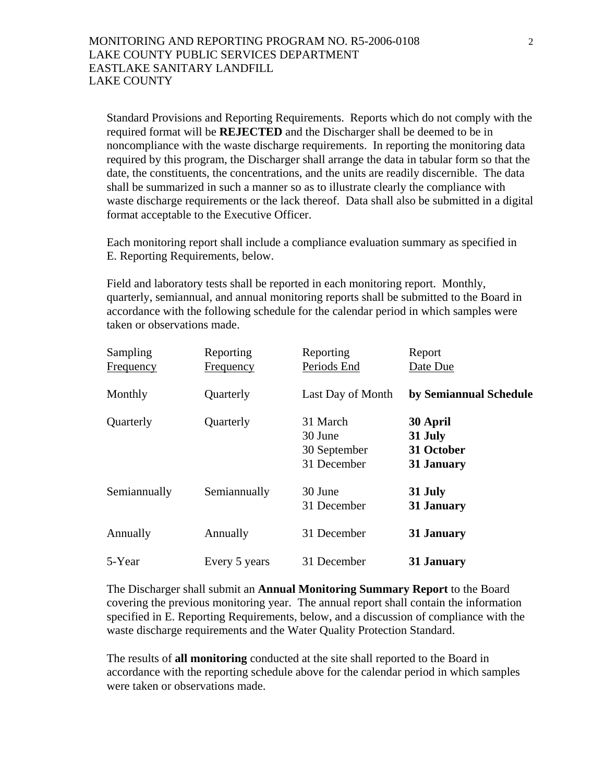Standard Provisions and Reporting Requirements. Reports which do not comply with the required format will be **REJECTED** and the Discharger shall be deemed to be in noncompliance with the waste discharge requirements. In reporting the monitoring data required by this program, the Discharger shall arrange the data in tabular form so that the date, the constituents, the concentrations, and the units are readily discernible. The data shall be summarized in such a manner so as to illustrate clearly the compliance with waste discharge requirements or the lack thereof. Data shall also be submitted in a digital format acceptable to the Executive Officer.

 Each monitoring report shall include a compliance evaluation summary as specified in E. Reporting Requirements, below.

 Field and laboratory tests shall be reported in each monitoring report. Monthly, quarterly, semiannual, and annual monitoring reports shall be submitted to the Board in accordance with the following schedule for the calendar period in which samples were taken or observations made.

| Sampling<br>Frequency | Reporting<br>Frequency | Reporting<br>Periods End                           | Report<br>Date Due                              |
|-----------------------|------------------------|----------------------------------------------------|-------------------------------------------------|
| Monthly               | Quarterly              | Last Day of Month                                  | by Semiannual Schedule                          |
| Quarterly             | Quarterly              | 31 March<br>30 June<br>30 September<br>31 December | 30 April<br>31 July<br>31 October<br>31 January |
| Semiannually          | Semiannually           | 30 June<br>31 December                             | 31 July<br>31 January                           |
| Annually              | Annually               | 31 December                                        | 31 January                                      |
| 5-Year                | Every 5 years          | 31 December                                        | 31 January                                      |

 The Discharger shall submit an **Annual Monitoring Summary Report** to the Board covering the previous monitoring year. The annual report shall contain the information specified in E. Reporting Requirements, below, and a discussion of compliance with the waste discharge requirements and the Water Quality Protection Standard.

 The results of **all monitoring** conducted at the site shall reported to the Board in accordance with the reporting schedule above for the calendar period in which samples were taken or observations made.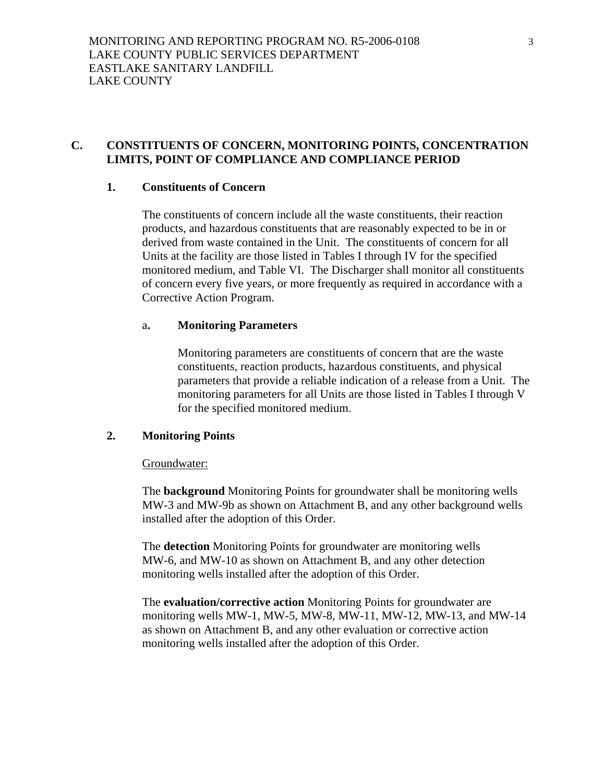# **C. CONSTITUENTS OF CONCERN, MONITORING POINTS, CONCENTRATION LIMITS, POINT OF COMPLIANCE AND COMPLIANCE PERIOD**

# **1. Constituents of Concern**

 The constituents of concern include all the waste constituents, their reaction products, and hazardous constituents that are reasonably expected to be in or derived from waste contained in the Unit. The constituents of concern for all Units at the facility are those listed in Tables I through IV for the specified monitored medium, and Table VI. The Discharger shall monitor all constituents of concern every five years, or more frequently as required in accordance with a Corrective Action Program.

# a**. Monitoring Parameters**

 Monitoring parameters are constituents of concern that are the waste constituents, reaction products, hazardous constituents, and physical parameters that provide a reliable indication of a release from a Unit. The monitoring parameters for all Units are those listed in Tables I through V for the specified monitored medium.

# **2. Monitoring Points**

# Groundwater:

The **background** Monitoring Points for groundwater shall be monitoring wells MW-3 and MW-9b as shown on Attachment B, and any other background wells installed after the adoption of this Order.

The **detection** Monitoring Points for groundwater are monitoring wells MW-6, and MW-10 as shown on Attachment B, and any other detection monitoring wells installed after the adoption of this Order.

The **evaluation/corrective action** Monitoring Points for groundwater are monitoring wells MW-1, MW-5, MW-8, MW-11, MW-12, MW-13, and MW-14 as shown on Attachment B, and any other evaluation or corrective action monitoring wells installed after the adoption of this Order.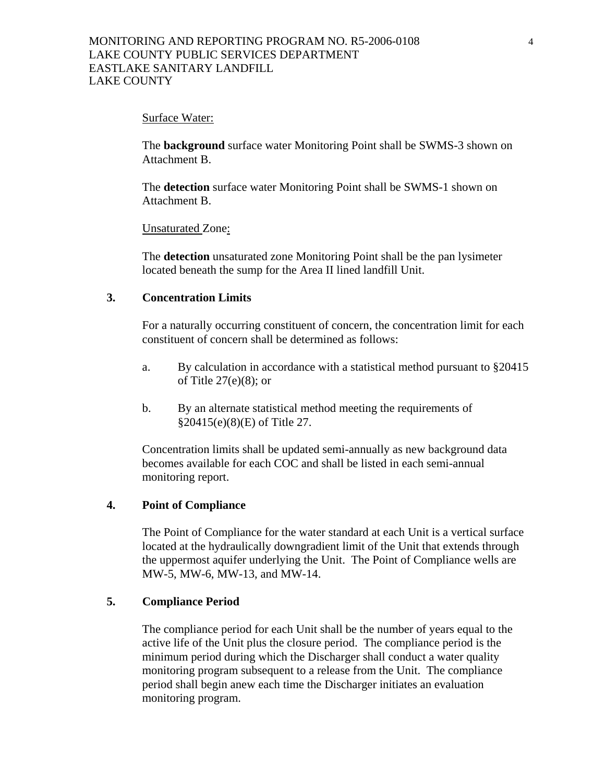#### Surface Water:

The **background** surface water Monitoring Point shall be SWMS-3 shown on Attachment B.

The **detection** surface water Monitoring Point shall be SWMS-1 shown on Attachment B.

Unsaturated Zone:

The **detection** unsaturated zone Monitoring Point shall be the pan lysimeter located beneath the sump for the Area II lined landfill Unit.

### **3. Concentration Limits**

 For a naturally occurring constituent of concern, the concentration limit for each constituent of concern shall be determined as follows:

- a. By calculation in accordance with a statistical method pursuant to §20415 of Title 27(e)(8); or
- b. By an alternate statistical method meeting the requirements of §20415(e)(8)(E) of Title 27.

 Concentration limits shall be updated semi-annually as new background data becomes available for each COC and shall be listed in each semi-annual monitoring report.

# **4. Point of Compliance**

 The Point of Compliance for the water standard at each Unit is a vertical surface located at the hydraulically downgradient limit of the Unit that extends through the uppermost aquifer underlying the Unit. The Point of Compliance wells are MW-5, MW-6, MW-13, and MW-14.

#### **5. Compliance Period**

 The compliance period for each Unit shall be the number of years equal to the active life of the Unit plus the closure period. The compliance period is the minimum period during which the Discharger shall conduct a water quality monitoring program subsequent to a release from the Unit. The compliance period shall begin anew each time the Discharger initiates an evaluation monitoring program.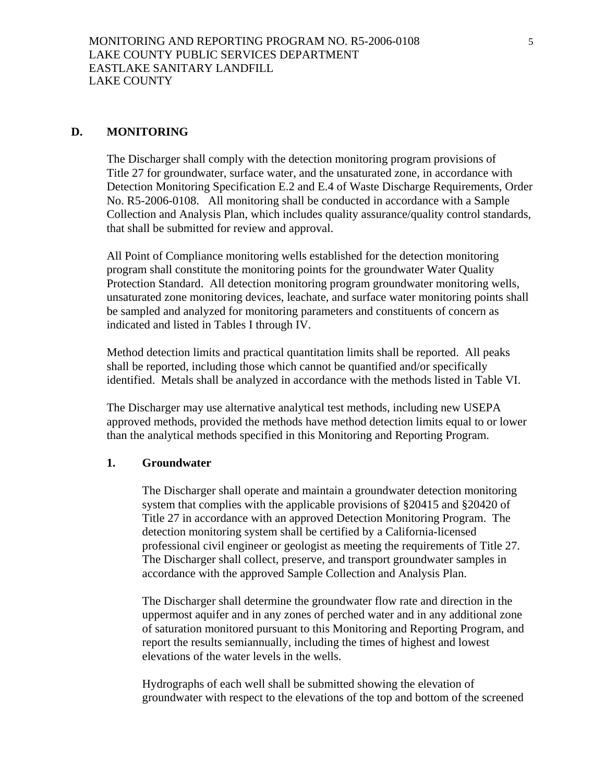# **D. MONITORING**

The Discharger shall comply with the detection monitoring program provisions of Title 27 for groundwater, surface water, and the unsaturated zone, in accordance with Detection Monitoring Specification E.2 and E.4 of Waste Discharge Requirements, Order No. R5-2006-0108. All monitoring shall be conducted in accordance with a Sample Collection and Analysis Plan, which includes quality assurance/quality control standards, that shall be submitted for review and approval.

All Point of Compliance monitoring wells established for the detection monitoring program shall constitute the monitoring points for the groundwater Water Quality Protection Standard. All detection monitoring program groundwater monitoring wells, unsaturated zone monitoring devices, leachate, and surface water monitoring points shall be sampled and analyzed for monitoring parameters and constituents of concern as indicated and listed in Tables I through IV.

Method detection limits and practical quantitation limits shall be reported. All peaks shall be reported, including those which cannot be quantified and/or specifically identified. Metals shall be analyzed in accordance with the methods listed in Table VI.

The Discharger may use alternative analytical test methods, including new USEPA approved methods, provided the methods have method detection limits equal to or lower than the analytical methods specified in this Monitoring and Reporting Program.

# **1. Groundwater**

The Discharger shall operate and maintain a groundwater detection monitoring system that complies with the applicable provisions of §20415 and §20420 of Title 27 in accordance with an approved Detection Monitoring Program. The detection monitoring system shall be certified by a California-licensed professional civil engineer or geologist as meeting the requirements of Title 27. The Discharger shall collect, preserve, and transport groundwater samples in accordance with the approved Sample Collection and Analysis Plan.

The Discharger shall determine the groundwater flow rate and direction in the uppermost aquifer and in any zones of perched water and in any additional zone of saturation monitored pursuant to this Monitoring and Reporting Program, and report the results semiannually, including the times of highest and lowest elevations of the water levels in the wells.

Hydrographs of each well shall be submitted showing the elevation of groundwater with respect to the elevations of the top and bottom of the screened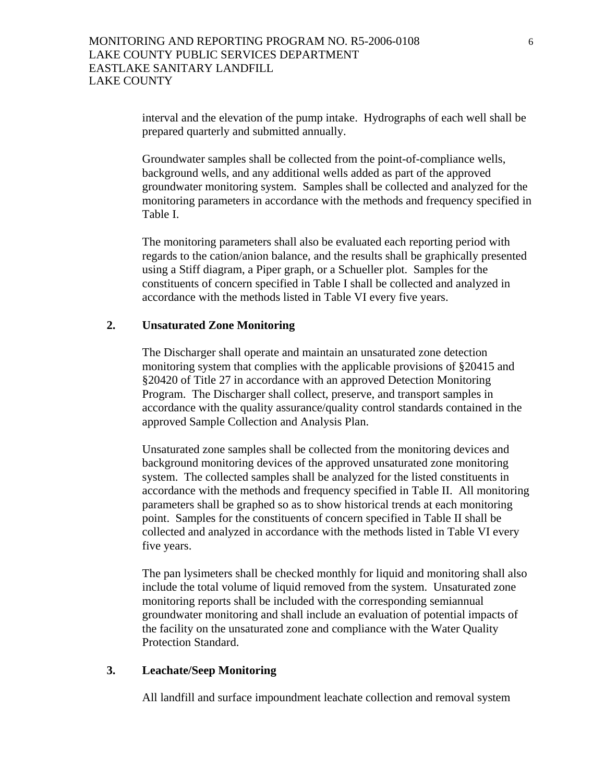interval and the elevation of the pump intake. Hydrographs of each well shall be prepared quarterly and submitted annually.

Groundwater samples shall be collected from the point-of-compliance wells, background wells, and any additional wells added as part of the approved groundwater monitoring system. Samples shall be collected and analyzed for the monitoring parameters in accordance with the methods and frequency specified in Table I.

The monitoring parameters shall also be evaluated each reporting period with regards to the cation/anion balance, and the results shall be graphically presented using a Stiff diagram, a Piper graph, or a Schueller plot. Samples for the constituents of concern specified in Table I shall be collected and analyzed in accordance with the methods listed in Table VI every five years.

# **2. Unsaturated Zone Monitoring**

The Discharger shall operate and maintain an unsaturated zone detection monitoring system that complies with the applicable provisions of §20415 and §20420 of Title 27 in accordance with an approved Detection Monitoring Program. The Discharger shall collect, preserve, and transport samples in accordance with the quality assurance/quality control standards contained in the approved Sample Collection and Analysis Plan.

Unsaturated zone samples shall be collected from the monitoring devices and background monitoring devices of the approved unsaturated zone monitoring system. The collected samples shall be analyzed for the listed constituents in accordance with the methods and frequency specified in Table II. All monitoring parameters shall be graphed so as to show historical trends at each monitoring point. Samples for the constituents of concern specified in Table II shall be collected and analyzed in accordance with the methods listed in Table VI every five years.

The pan lysimeters shall be checked monthly for liquid and monitoring shall also include the total volume of liquid removed from the system. Unsaturated zone monitoring reports shall be included with the corresponding semiannual groundwater monitoring and shall include an evaluation of potential impacts of the facility on the unsaturated zone and compliance with the Water Quality Protection Standard.

# **3. Leachate/Seep Monitoring**

All landfill and surface impoundment leachate collection and removal system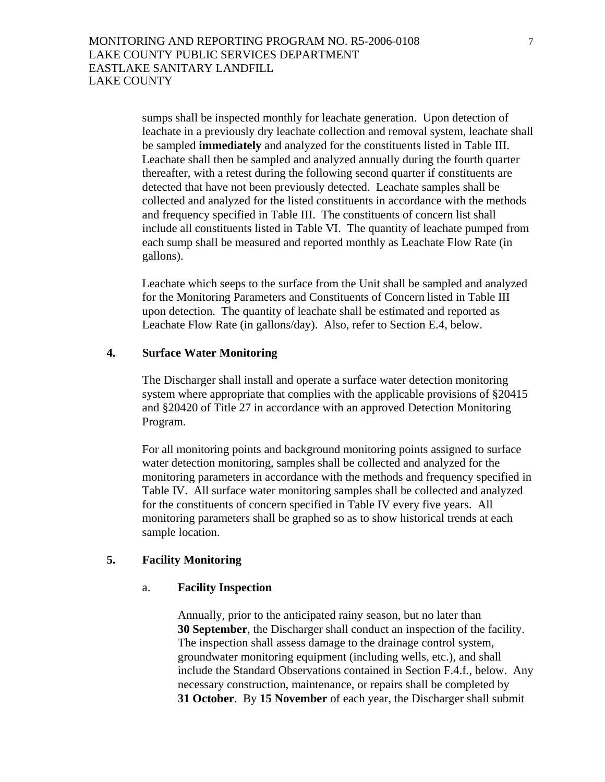sumps shall be inspected monthly for leachate generation. Upon detection of leachate in a previously dry leachate collection and removal system, leachate shall be sampled **immediately** and analyzed for the constituents listed in Table III. Leachate shall then be sampled and analyzed annually during the fourth quarter thereafter, with a retest during the following second quarter if constituents are detected that have not been previously detected. Leachate samples shall be collected and analyzed for the listed constituents in accordance with the methods and frequency specified in Table III. The constituents of concern list shall include all constituents listed in Table VI. The quantity of leachate pumped from each sump shall be measured and reported monthly as Leachate Flow Rate (in gallons).

Leachate which seeps to the surface from the Unit shall be sampled and analyzed for the Monitoring Parameters and Constituents of Concern listed in Table III upon detection. The quantity of leachate shall be estimated and reported as Leachate Flow Rate (in gallons/day). Also, refer to Section E.4, below.

# **4. Surface Water Monitoring**

The Discharger shall install and operate a surface water detection monitoring system where appropriate that complies with the applicable provisions of §20415 and §20420 of Title 27 in accordance with an approved Detection Monitoring Program.

For all monitoring points and background monitoring points assigned to surface water detection monitoring, samples shall be collected and analyzed for the monitoring parameters in accordance with the methods and frequency specified in Table IV. All surface water monitoring samples shall be collected and analyzed for the constituents of concern specified in Table IV every five years. All monitoring parameters shall be graphed so as to show historical trends at each sample location.

# **5. Facility Monitoring**

### a. **Facility Inspection**

Annually, prior to the anticipated rainy season, but no later than **30 September**, the Discharger shall conduct an inspection of the facility. The inspection shall assess damage to the drainage control system, groundwater monitoring equipment (including wells, etc.), and shall include the Standard Observations contained in Section F.4.f., below. Any necessary construction, maintenance, or repairs shall be completed by **31 October**. By **15 November** of each year, the Discharger shall submit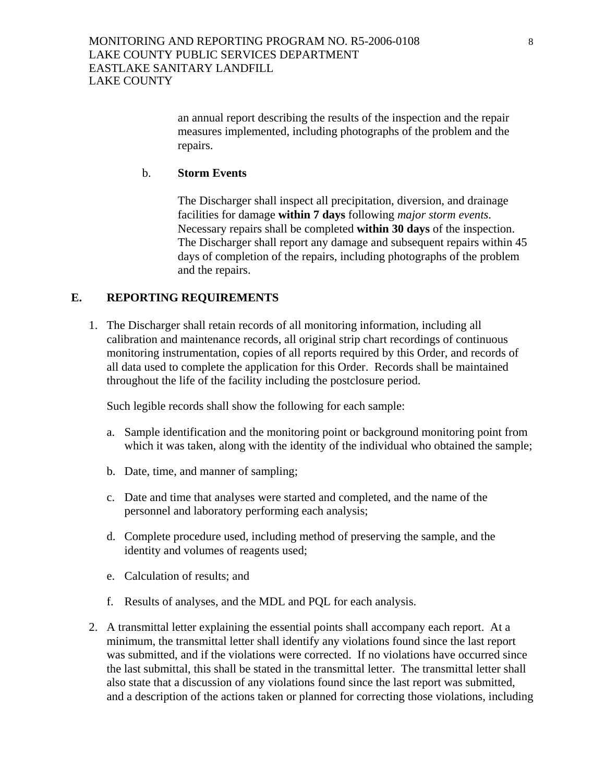an annual report describing the results of the inspection and the repair measures implemented, including photographs of the problem and the repairs.

### b. **Storm Events**

The Discharger shall inspect all precipitation, diversion, and drainage facilities for damage **within 7 days** following *major storm events*. Necessary repairs shall be completed **within 30 days** of the inspection. The Discharger shall report any damage and subsequent repairs within 45 days of completion of the repairs, including photographs of the problem and the repairs.

# **E. REPORTING REQUIREMENTS**

1. The Discharger shall retain records of all monitoring information, including all calibration and maintenance records, all original strip chart recordings of continuous monitoring instrumentation, copies of all reports required by this Order, and records of all data used to complete the application for this Order. Records shall be maintained throughout the life of the facility including the postclosure period.

Such legible records shall show the following for each sample:

- a. Sample identification and the monitoring point or background monitoring point from which it was taken, along with the identity of the individual who obtained the sample;
- b. Date, time, and manner of sampling;
- c. Date and time that analyses were started and completed, and the name of the personnel and laboratory performing each analysis;
- d. Complete procedure used, including method of preserving the sample, and the identity and volumes of reagents used;
- e. Calculation of results; and
- f. Results of analyses, and the MDL and PQL for each analysis.
- 2. A transmittal letter explaining the essential points shall accompany each report. At a minimum, the transmittal letter shall identify any violations found since the last report was submitted, and if the violations were corrected. If no violations have occurred since the last submittal, this shall be stated in the transmittal letter. The transmittal letter shall also state that a discussion of any violations found since the last report was submitted, and a description of the actions taken or planned for correcting those violations, including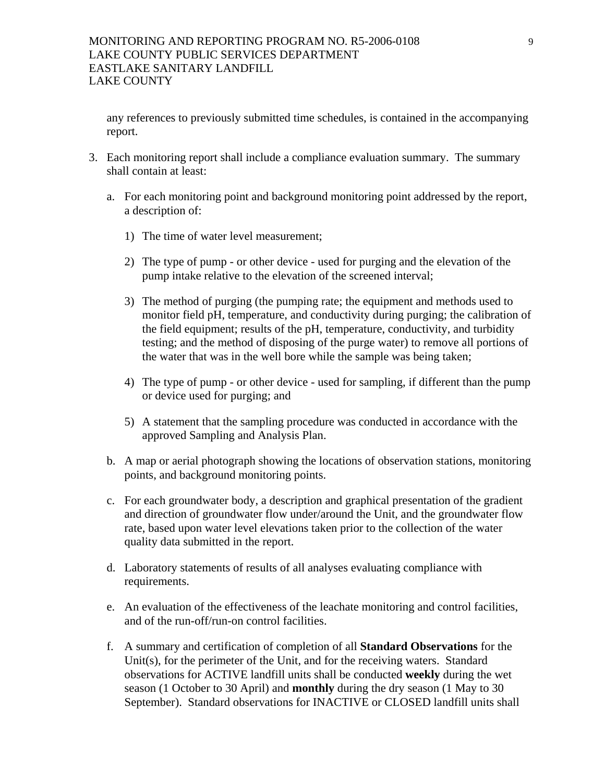any references to previously submitted time schedules, is contained in the accompanying report.

- 3. Each monitoring report shall include a compliance evaluation summary. The summary shall contain at least:
	- a. For each monitoring point and background monitoring point addressed by the report, a description of:
		- 1) The time of water level measurement;
		- 2) The type of pump or other device used for purging and the elevation of the pump intake relative to the elevation of the screened interval;
		- 3) The method of purging (the pumping rate; the equipment and methods used to monitor field pH, temperature, and conductivity during purging; the calibration of the field equipment; results of the pH, temperature, conductivity, and turbidity testing; and the method of disposing of the purge water) to remove all portions of the water that was in the well bore while the sample was being taken;
		- 4) The type of pump or other device used for sampling, if different than the pump or device used for purging; and
		- 5) A statement that the sampling procedure was conducted in accordance with the approved Sampling and Analysis Plan.
	- b. A map or aerial photograph showing the locations of observation stations, monitoring points, and background monitoring points.
	- c. For each groundwater body, a description and graphical presentation of the gradient and direction of groundwater flow under/around the Unit, and the groundwater flow rate, based upon water level elevations taken prior to the collection of the water quality data submitted in the report.
	- d. Laboratory statements of results of all analyses evaluating compliance with requirements.
	- e. An evaluation of the effectiveness of the leachate monitoring and control facilities, and of the run-off/run-on control facilities.
	- f. A summary and certification of completion of all **Standard Observations** for the Unit(s), for the perimeter of the Unit, and for the receiving waters. Standard observations for ACTIVE landfill units shall be conducted **weekly** during the wet season (1 October to 30 April) and **monthly** during the dry season (1 May to 30 September). Standard observations for INACTIVE or CLOSED landfill units shall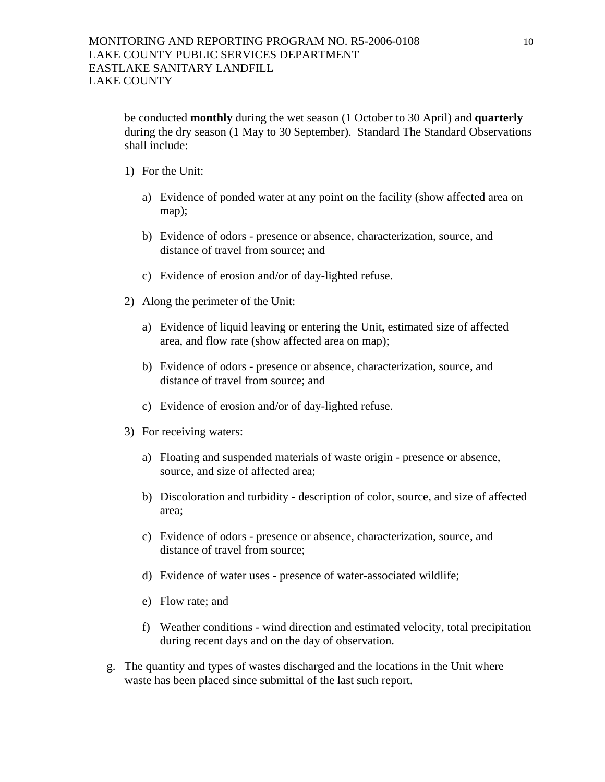be conducted **monthly** during the wet season (1 October to 30 April) and **quarterly** during the dry season (1 May to 30 September). Standard The Standard Observations shall include:

- 1) For the Unit:
	- a) Evidence of ponded water at any point on the facility (show affected area on map);
	- b) Evidence of odors presence or absence, characterization, source, and distance of travel from source; and
	- c) Evidence of erosion and/or of day-lighted refuse.
- 2) Along the perimeter of the Unit:
	- a) Evidence of liquid leaving or entering the Unit, estimated size of affected area, and flow rate (show affected area on map);
	- b) Evidence of odors presence or absence, characterization, source, and distance of travel from source; and
	- c) Evidence of erosion and/or of day-lighted refuse.
- 3) For receiving waters:
	- a) Floating and suspended materials of waste origin presence or absence, source, and size of affected area;
	- b) Discoloration and turbidity description of color, source, and size of affected area;
	- c) Evidence of odors presence or absence, characterization, source, and distance of travel from source;
	- d) Evidence of water uses presence of water-associated wildlife;
	- e) Flow rate; and
	- f) Weather conditions wind direction and estimated velocity, total precipitation during recent days and on the day of observation.
- g. The quantity and types of wastes discharged and the locations in the Unit where waste has been placed since submittal of the last such report.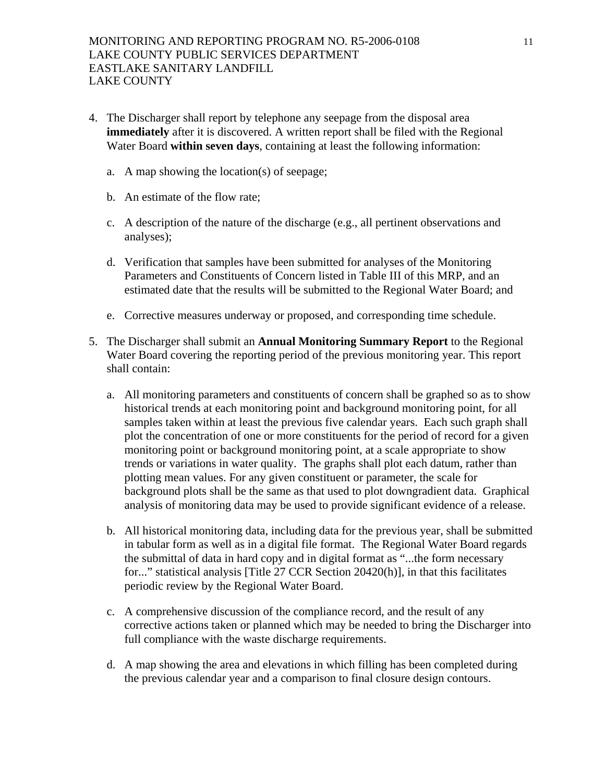- 4. The Discharger shall report by telephone any seepage from the disposal area **immediately** after it is discovered. A written report shall be filed with the Regional Water Board **within seven days**, containing at least the following information:
	- a. A map showing the location(s) of seepage;
	- b. An estimate of the flow rate;
	- c. A description of the nature of the discharge (e.g., all pertinent observations and analyses);
	- d. Verification that samples have been submitted for analyses of the Monitoring Parameters and Constituents of Concern listed in Table III of this MRP, and an estimated date that the results will be submitted to the Regional Water Board; and
	- e. Corrective measures underway or proposed, and corresponding time schedule.
- 5. The Discharger shall submit an **Annual Monitoring Summary Report** to the Regional Water Board covering the reporting period of the previous monitoring year. This report shall contain:
	- a. All monitoring parameters and constituents of concern shall be graphed so as to show historical trends at each monitoring point and background monitoring point, for all samples taken within at least the previous five calendar years. Each such graph shall plot the concentration of one or more constituents for the period of record for a given monitoring point or background monitoring point, at a scale appropriate to show trends or variations in water quality. The graphs shall plot each datum, rather than plotting mean values. For any given constituent or parameter, the scale for background plots shall be the same as that used to plot downgradient data. Graphical analysis of monitoring data may be used to provide significant evidence of a release.
	- b. All historical monitoring data, including data for the previous year, shall be submitted in tabular form as well as in a digital file format. The Regional Water Board regards the submittal of data in hard copy and in digital format as "...the form necessary for..." statistical analysis [Title 27 CCR Section 20420(h)], in that this facilitates periodic review by the Regional Water Board.
	- c. A comprehensive discussion of the compliance record, and the result of any corrective actions taken or planned which may be needed to bring the Discharger into full compliance with the waste discharge requirements.
	- d. A map showing the area and elevations in which filling has been completed during the previous calendar year and a comparison to final closure design contours.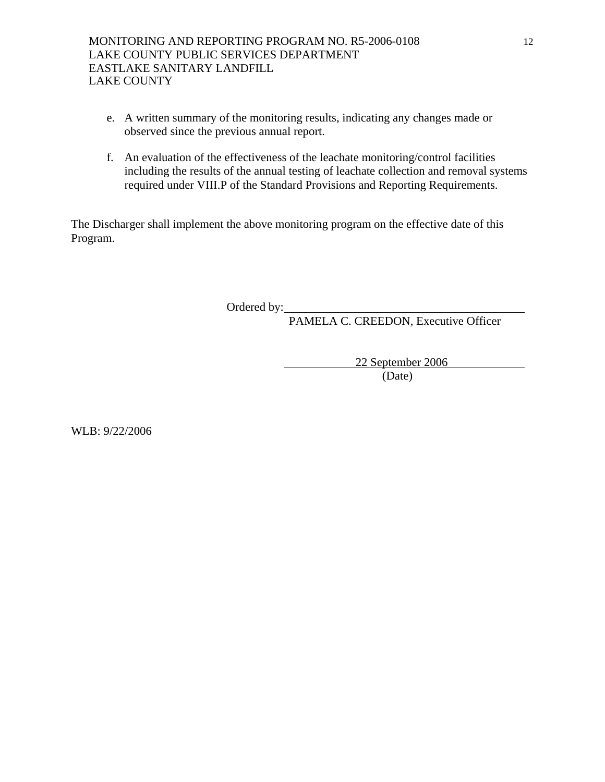- e. A written summary of the monitoring results, indicating any changes made or observed since the previous annual report.
- f. An evaluation of the effectiveness of the leachate monitoring/control facilities including the results of the annual testing of leachate collection and removal systems required under VIII.P of the Standard Provisions and Reporting Requirements.

The Discharger shall implement the above monitoring program on the effective date of this Program.

Ordered by:

PAMELA C. CREEDON, Executive Officer

 22 September 2006 (Date)

WLB: 9/22/2006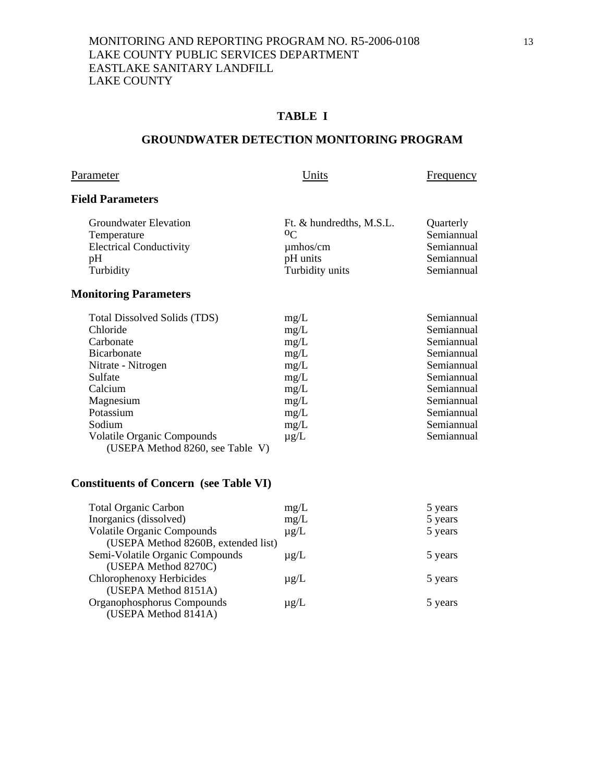# **TABLE I**

## **GROUNDWATER DETECTION MONITORING PROGRAM**

# Parameter **Example 2** Units **Example 2** Units **Example 2** Example 2 Units

# **Field Parameters**

| Groundwater Elevation          | Ft. & hundredths, M.S.L. | <b>Ouarterly</b> |
|--------------------------------|--------------------------|------------------|
| Temperature                    | 0 <sup>C</sup>           | Semiannual       |
| <b>Electrical Conductivity</b> | $\mu$ mhos/cm            | Semiannual       |
| pΗ                             | pH units                 | Semiannual       |
| Turbidity                      | Turbidity units          | Semiannual       |

# **Monitoring Parameters**

| <b>Total Dissolved Solids (TDS)</b> | mg/L      | Semiannual |
|-------------------------------------|-----------|------------|
| Chloride                            | mg/L      | Semiannual |
| Carbonate                           | mg/L      | Semiannual |
| <b>Bicarbonate</b>                  | mg/L      | Semiannual |
| Nitrate - Nitrogen                  | mg/L      | Semiannual |
| Sulfate                             | mg/L      | Semiannual |
| Calcium                             | mg/L      | Semiannual |
| Magnesium                           | mg/L      | Semiannual |
| Potassium                           | mg/L      | Semiannual |
| Sodium                              | mg/L      | Semiannual |
| <b>Volatile Organic Compounds</b>   | $\mu$ g/L | Semiannual |
| (USEPA Method 8260, see Table V)    |           |            |

# **Constituents of Concern (see Table VI)**

| <b>Total Organic Carbon</b>         | mg/L      | 5 years |
|-------------------------------------|-----------|---------|
| Inorganics (dissolved)              | mg/L      | 5 years |
| <b>Volatile Organic Compounds</b>   | $\mu$ g/L | 5 years |
| (USEPA Method 8260B, extended list) |           |         |
| Semi-Volatile Organic Compounds     | $\mu$ g/L | 5 years |
| (USEPA Method 8270C)                |           |         |
| Chlorophenoxy Herbicides            | $\mu$ g/L | 5 years |
| (USEPA Method 8151A)                |           |         |
| Organophosphorus Compounds          | $\mu$ g/L | 5 years |
| (USEPA Method 8141A)                |           |         |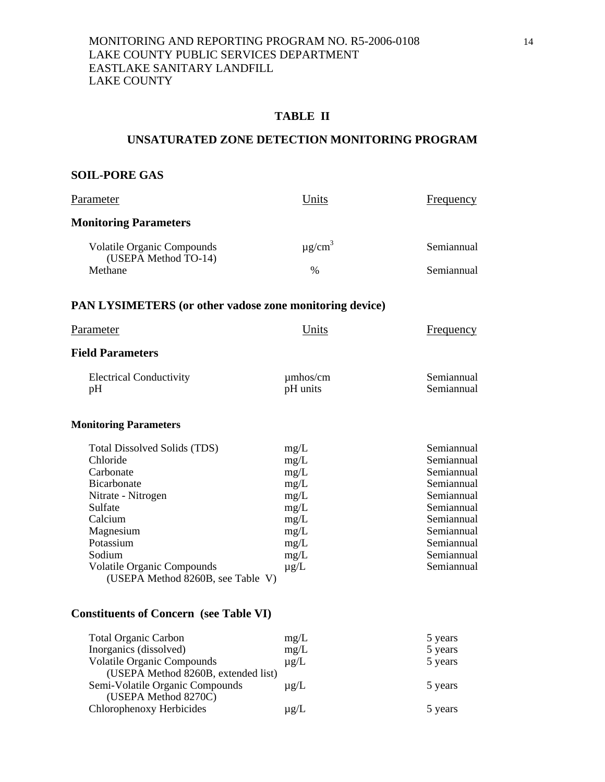# **TABLE II**

#### **UNSATURATED ZONE DETECTION MONITORING PROGRAM**

# **SOIL-PORE GAS**

| Parameter                                                              | Units                     | Frequency                |
|------------------------------------------------------------------------|---------------------------|--------------------------|
| <b>Monitoring Parameters</b>                                           |                           |                          |
| <b>Volatile Organic Compounds</b>                                      | $\mu$ g/cm <sup>3</sup>   | Semiannual               |
| (USEPA Method TO-14)<br>Methane                                        | $\%$                      | Semiannual               |
| <b>PAN LYSIMETERS</b> (or other vadose zone monitoring device)         |                           |                          |
| Parameter                                                              | Units                     | <b>Frequency</b>         |
| <b>Field Parameters</b>                                                |                           |                          |
| <b>Electrical Conductivity</b><br>pH                                   | $\mu$ mhos/cm<br>pH units | Semiannual<br>Semiannual |
| <b>Monitoring Parameters</b>                                           |                           |                          |
| <b>Total Dissolved Solids (TDS)</b><br>Chloride                        | mg/L<br>mg/L              | Semiannual<br>Semiannual |
| Carbonate                                                              | mg/L                      | Semiannual               |
| Bicarbonate                                                            | mg/L                      | Semiannual               |
| Nitrate - Nitrogen                                                     | mg/L                      | Semiannual               |
| Sulfate                                                                | mg/L                      | Semiannual               |
| Calcium                                                                | mg/L                      | Semiannual               |
| Magnesium                                                              | mg/L                      | Semiannual               |
| Potassium                                                              | mg/L                      | Semiannual               |
| Sodium                                                                 | mg/L                      | Semiannual               |
| <b>Volatile Organic Compounds</b><br>(USEPA Method 8260B, see Table V) | $\mu$ g/L                 | Semiannual               |
|                                                                        |                           |                          |

# **Constituents of Concern (see Table VI)**

| <b>Total Organic Carbon</b>         | mg/L      | 5 years |
|-------------------------------------|-----------|---------|
| Inorganics (dissolved)              | mg/L      | 5 years |
| <b>Volatile Organic Compounds</b>   | $\mu$ g/L | 5 years |
| (USEPA Method 8260B, extended list) |           |         |
| Semi-Volatile Organic Compounds     | $\mu$ g/L | 5 years |
| (USEPA Method 8270C)                |           |         |
| Chlorophenoxy Herbicides            | $\mu$ g/L | 5 years |
|                                     |           |         |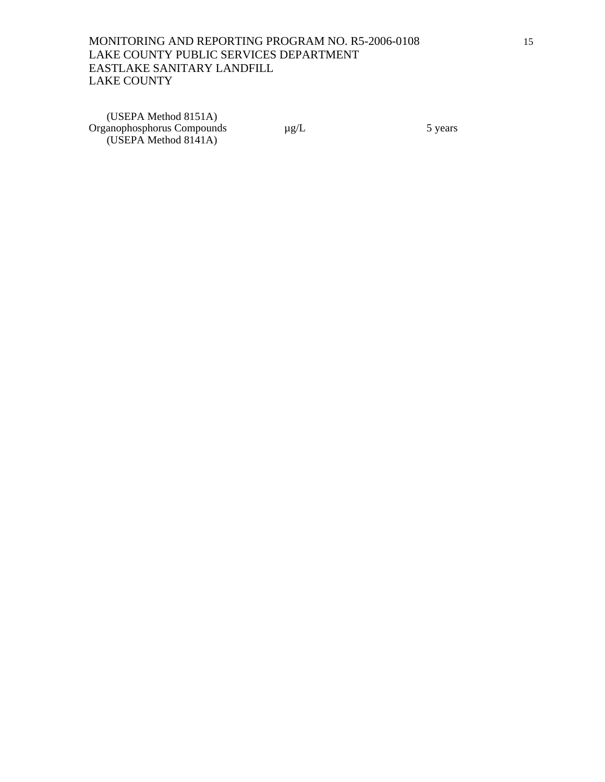(USEPA Method 8151A) Organophosphorus Compounds  $\mu$ g/L 5 years (USEPA Method 8141A)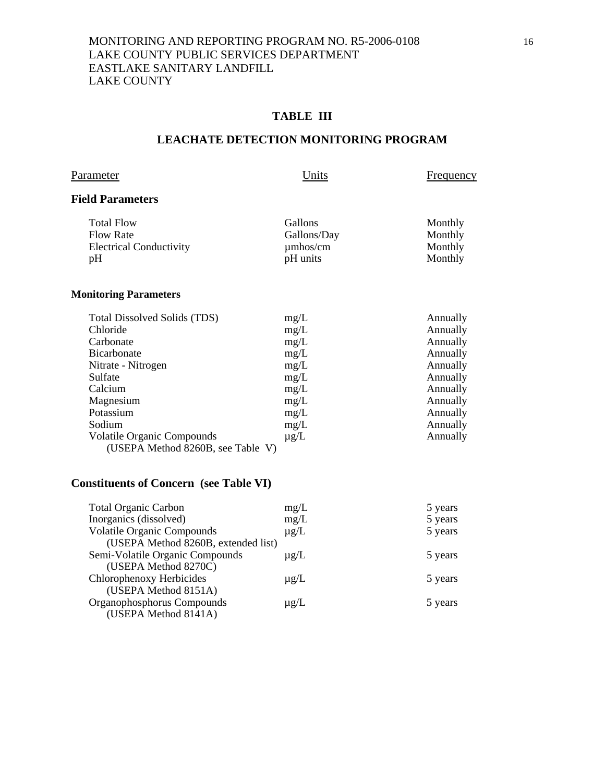# **TABLE III**

### **LEACHATE DETECTION MONITORING PROGRAM**

Parameter **Example 2** Units **Example 2** Units **Example 2** Example 2 Units

# **Field Parameters**

| <b>Total Flow</b>              | <b>Gallons</b> | Monthly |
|--------------------------------|----------------|---------|
| <b>Flow Rate</b>               | Gallons/Day    | Monthly |
| <b>Electrical Conductivity</b> | $\mu$ mhos/cm  | Monthly |
| pH                             | pH units       | Monthly |

# **Monitoring Parameters**

| <b>Total Dissolved Solids (TDS)</b> | mg/L      | Annually |
|-------------------------------------|-----------|----------|
| Chloride                            | mg/L      | Annually |
| Carbonate                           | mg/L      | Annually |
| <b>Bicarbonate</b>                  | mg/L      | Annually |
| Nitrate - Nitrogen                  | mg/L      | Annually |
| Sulfate                             | mg/L      | Annually |
| Calcium                             | mg/L      | Annually |
| Magnesium                           | mg/L      | Annually |
| Potassium                           | mg/L      | Annually |
| Sodium                              | mg/L      | Annually |
| <b>Volatile Organic Compounds</b>   | $\mu$ g/L | Annually |
| (USEPA Method 8260B, see Table V)   |           |          |

# **Constituents of Concern (see Table VI)**

| <b>Total Organic Carbon</b>         | mg/L      | 5 years |
|-------------------------------------|-----------|---------|
| Inorganics (dissolved)              | mg/L      | 5 years |
| <b>Volatile Organic Compounds</b>   | $\mu$ g/L | 5 years |
| (USEPA Method 8260B, extended list) |           |         |
| Semi-Volatile Organic Compounds     | $\mu$ g/L | 5 years |
| (USEPA Method 8270C)                |           |         |
| Chlorophenoxy Herbicides            | $\mu$ g/L | 5 years |
| (USEPA Method 8151A)                |           |         |
| Organophosphorus Compounds          | $\mu$ g/L | 5 years |
| (USEPA Method 8141A)                |           |         |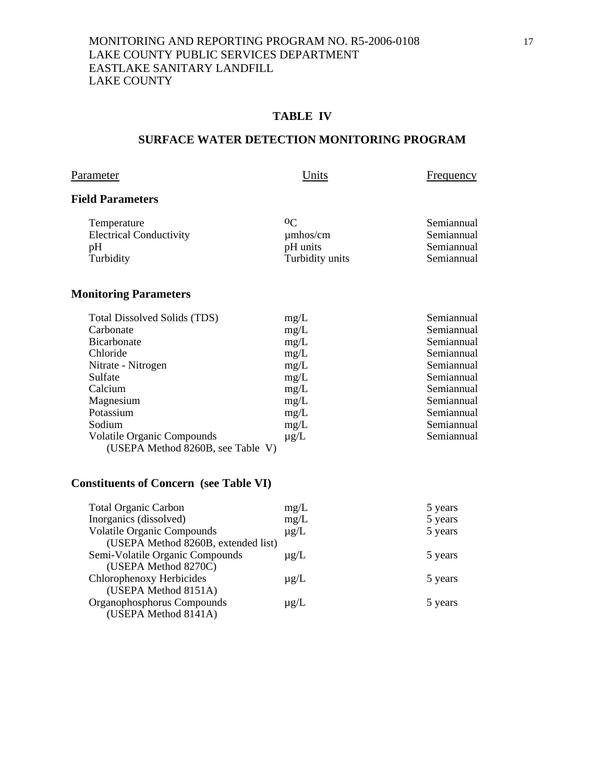# **TABLE IV**

### **SURFACE WATER DETECTION MONITORING PROGRAM**

# Parameter **Example 2** Units **Example 2** Units **Example 2** Example 2 Units

# **Field Parameters**

| Temperature                    | $^{\rm o}C$     | Semiannual |
|--------------------------------|-----------------|------------|
| <b>Electrical Conductivity</b> | $\mu$ mhos/cm   | Semiannual |
| pH                             | pH units        | Semiannual |
| Turbidity                      | Turbidity units | Semiannual |

# **Monitoring Parameters**

| <b>Total Dissolved Solids (TDS)</b> | mg/L      | Semiannual |
|-------------------------------------|-----------|------------|
| Carbonate                           | mg/L      | Semiannual |
| <b>Bicarbonate</b>                  | mg/L      | Semiannual |
| Chloride                            | mg/L      | Semiannual |
| Nitrate - Nitrogen                  | mg/L      | Semiannual |
| Sulfate                             | mg/L      | Semiannual |
| Calcium                             | mg/L      | Semiannual |
| Magnesium                           | mg/L      | Semiannual |
| Potassium                           | mg/L      | Semiannual |
| Sodium                              | mg/L      | Semiannual |
| <b>Volatile Organic Compounds</b>   | $\mu$ g/L | Semiannual |
| (USEPA Method 8260B, see Table V)   |           |            |

# **Constituents of Concern (see Table VI)**

| <b>Total Organic Carbon</b>         | mg/L      | 5 years |
|-------------------------------------|-----------|---------|
| Inorganics (dissolved)              | mg/L      | 5 years |
| <b>Volatile Organic Compounds</b>   | $\mu$ g/L | 5 years |
| (USEPA Method 8260B, extended list) |           |         |
| Semi-Volatile Organic Compounds     | $\mu$ g/L | 5 years |
| (USEPA Method 8270C)                |           |         |
| Chlorophenoxy Herbicides            | $\mu$ g/L | 5 years |
| (USEPA Method 8151A)                |           |         |
| Organophosphorus Compounds          | $\mu$ g/L | 5 years |
| (USEPA Method 8141A)                |           |         |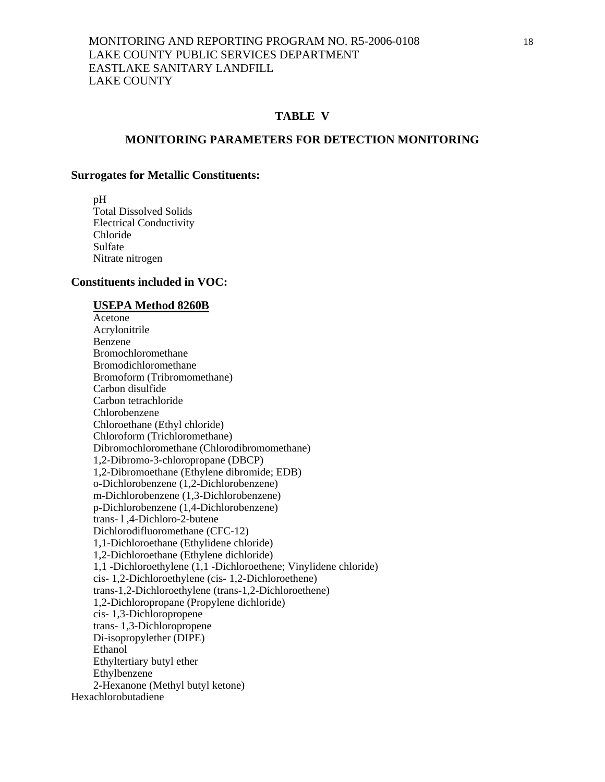### **TABLE V**

#### **MONITORING PARAMETERS FOR DETECTION MONITORING**

#### **Surrogates for Metallic Constituents:**

 pH Total Dissolved Solids Electrical Conductivity Chloride Sulfate Nitrate nitrogen

#### **Constituents included in VOC:**

#### **USEPA Method 8260B**

 Acetone Acrylonitrile Benzene Bromochloromethane Bromodichloromethane Bromoform (Tribromomethane) Carbon disulfide Carbon tetrachloride Chlorobenzene Chloroethane (Ethyl chloride) Chloroform (Trichloromethane) Dibromochloromethane (Chlorodibromomethane) 1,2-Dibromo-3-chloropropane (DBCP) 1,2-Dibromoethane (Ethylene dibromide; EDB) o-Dichlorobenzene (1,2-Dichlorobenzene) m-Dichlorobenzene (1,3-Dichlorobenzene) p-Dichlorobenzene (1,4-Dichlorobenzene) trans- l ,4-Dichloro-2-butene Dichlorodifluoromethane (CFC-12) 1,1-Dichloroethane (Ethylidene chloride) 1,2-Dichloroethane (Ethylene dichloride) 1,1 -Dichloroethylene (1,1 -Dichloroethene; Vinylidene chloride) cis- 1,2-Dichloroethylene (cis- 1,2-Dichloroethene) trans-1,2-Dichloroethylene (trans-1,2-Dichloroethene) 1,2-Dichloropropane (Propylene dichloride) cis- 1,3-Dichloropropene trans- 1,3-Dichloropropene Di-isopropylether (DIPE) Ethanol Ethyltertiary butyl ether Ethylbenzene 2-Hexanone (Methyl butyl ketone) Hexachlorobutadiene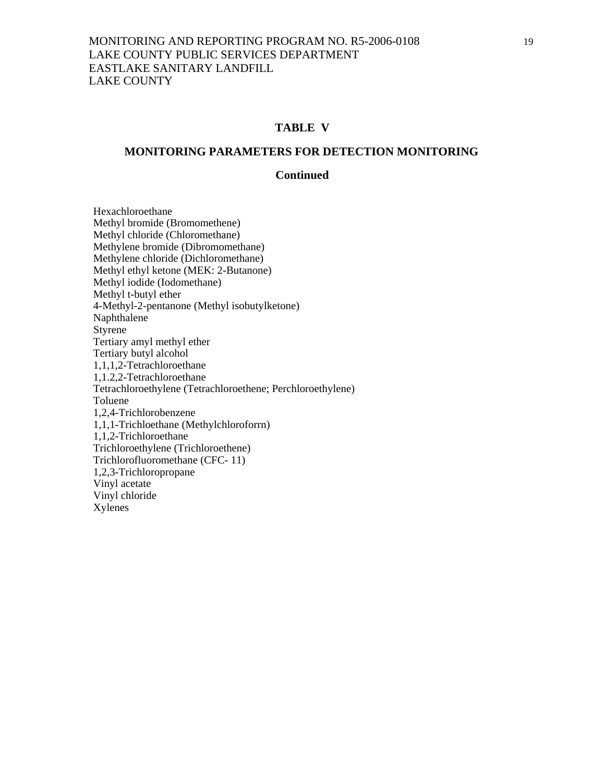#### **TABLE V**

#### **MONITORING PARAMETERS FOR DETECTION MONITORING**

#### **Continued**

 Hexachloroethane Methyl bromide (Bromomethene) Methyl chloride (Chloromethane) Methylene bromide (Dibromomethane) Methylene chloride (Dichloromethane) Methyl ethyl ketone (MEK: 2-Butanone) Methyl iodide (Iodomethane) Methyl t-butyl ether 4-Methyl-2-pentanone (Methyl isobutylketone) Naphthalene Styrene Tertiary amyl methyl ether Tertiary butyl alcohol 1,1,1,2-Tetrachloroethane 1,1.2,2-Tetrachloroethane Tetrachloroethylene (Tetrachloroethene; Perchloroethylene) Toluene 1,2,4-Trichlorobenzene 1,1,1-Trichloethane (Methylchloroforrn) 1,1,2-Trichloroethane Trichloroethylene (Trichloroethene) Trichlorofluoromethane (CFC- 11) 1,2,3-Trichloropropane Vinyl acetate Vinyl chloride Xylenes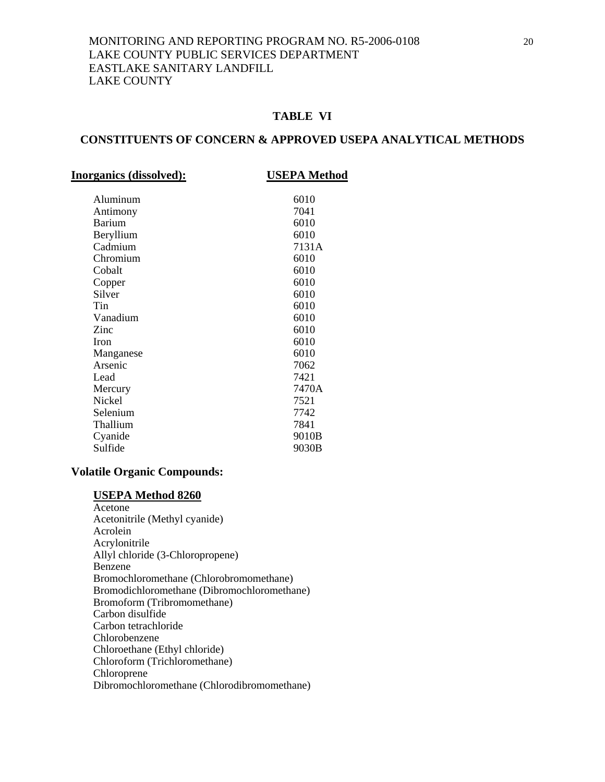# **TABLE VI**

# **CONSTITUENTS OF CONCERN & APPROVED USEPA ANALYTICAL METHODS**

| <b>Inorganics (dissolved):</b> | <b>USEPA Method</b> |
|--------------------------------|---------------------|
| Aluminum                       | 6010                |
| Antimony                       | 7041                |
| <b>Barium</b>                  | 6010                |
| Beryllium                      | 6010                |
| Cadmium                        | 7131A               |
| Chromium                       | 6010                |
| Cobalt                         | 6010                |
| Copper                         | 6010                |
| Silver                         | 6010                |
| Tin                            | 6010                |
| Vanadium                       | 6010                |
| Zinc                           | 6010                |
| <b>Iron</b>                    | 6010                |
| Manganese                      | 6010                |
| Arsenic                        | 7062                |
| Lead                           | 7421                |
| Mercury                        | 7470A               |
| Nickel                         | 7521                |
| Selenium                       | 7742                |
| Thallium                       | 7841                |
| Cyanide                        | 9010B               |
| Sulfide                        | 9030B               |
|                                |                     |

### **Volatile Organic Compounds:**

# **USEPA Method 8260**

 Acetone Acetonitrile (Methyl cyanide) Acrolein Acrylonitrile Allyl chloride (3-Chloropropene) Benzene Bromochloromethane (Chlorobromomethane) Bromodichloromethane (Dibromochloromethane) Bromoform (Tribromomethane) Carbon disulfide Carbon tetrachloride Chlorobenzene Chloroethane (Ethyl chloride) Chloroform (Trichloromethane) Chloroprene Dibromochloromethane (Chlorodibromomethane)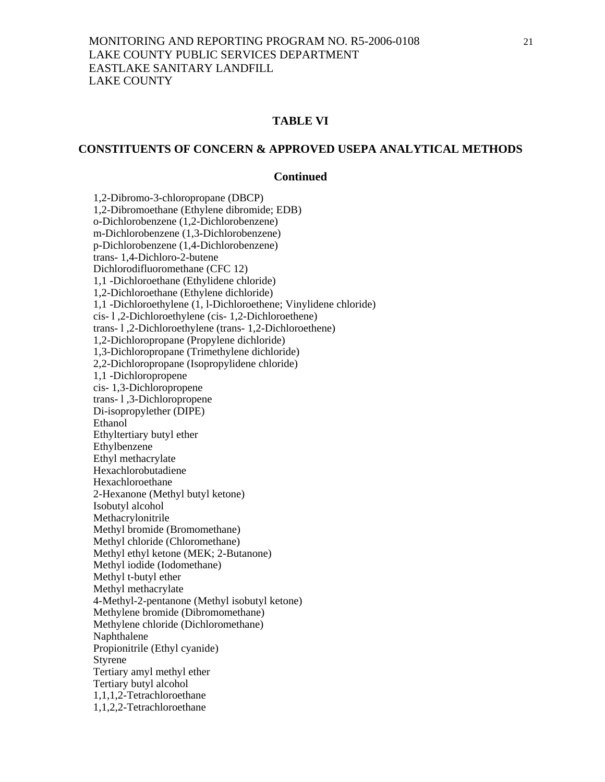## **TABLE VI**

# **CONSTITUENTS OF CONCERN & APPROVED USEPA ANALYTICAL METHODS**

#### **Continued**

 1,2-Dibromo-3-chloropropane (DBCP) 1,2-Dibromoethane (Ethylene dibromide; EDB) o-Dichlorobenzene (1,2-Dichlorobenzene) m-Dichlorobenzene (1,3-Dichlorobenzene) p-Dichlorobenzene (1,4-Dichlorobenzene) trans- 1,4-Dichloro-2-butene Dichlorodifluoromethane (CFC 12) 1,1 -Dichloroethane (Ethylidene chloride) 1,2-Dichloroethane (Ethylene dichloride) 1,1 -Dichloroethylene (1, l-Dichloroethene; Vinylidene chloride) cis- l ,2-Dichloroethylene (cis- 1,2-Dichloroethene) trans- l ,2-Dichloroethylene (trans- 1,2-Dichloroethene) 1,2-Dichloropropane (Propylene dichloride) 1,3-Dichloropropane (Trimethylene dichloride) 2,2-Dichloropropane (Isopropylidene chloride) 1,1 -Dichloropropene cis- 1,3-Dichloropropene trans- l ,3-Dichloropropene Di-isopropylether (DIPE) Ethanol Ethyltertiary butyl ether Ethylbenzene Ethyl methacrylate Hexachlorobutadiene Hexachloroethane 2-Hexanone (Methyl butyl ketone) Isobutyl alcohol Methacrylonitrile Methyl bromide (Bromomethane) Methyl chloride (Chloromethane) Methyl ethyl ketone (MEK; 2-Butanone) Methyl iodide (Iodomethane) Methyl t-butyl ether Methyl methacrylate 4-Methyl-2-pentanone (Methyl isobutyl ketone) Methylene bromide (Dibromomethane) Methylene chloride (Dichloromethane) Naphthalene Propionitrile (Ethyl cyanide) Styrene Tertiary amyl methyl ether Tertiary butyl alcohol 1,1,1,2-Tetrachloroethane 1,1,2,2-Tetrachloroethane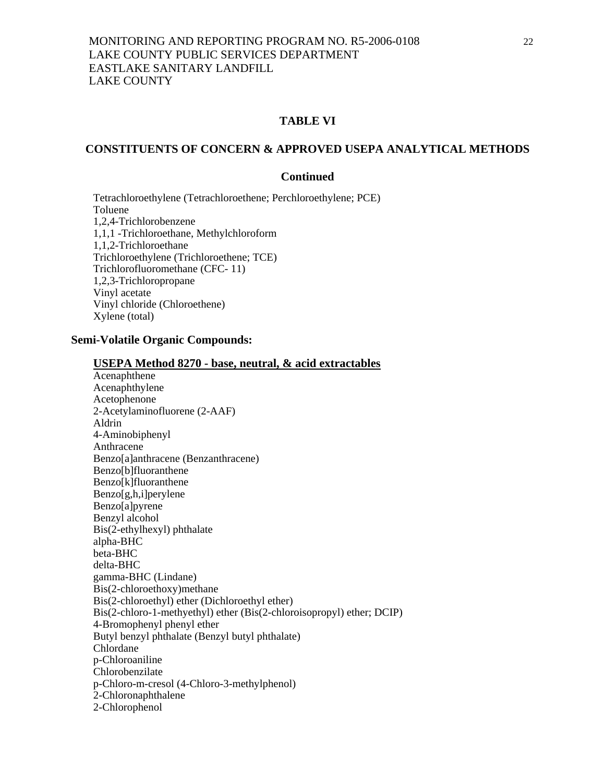# **TABLE VI**

# **CONSTITUENTS OF CONCERN & APPROVED USEPA ANALYTICAL METHODS**

### **Continued**

 Tetrachloroethylene (Tetrachloroethene; Perchloroethylene; PCE) Toluene 1,2,4-Trichlorobenzene 1,1,1 -Trichloroethane, Methylchloroform 1,1,2-Trichloroethane Trichloroethylene (Trichloroethene; TCE) Trichlorofluoromethane (CFC- 11) 1,2,3-Trichloropropane Vinyl acetate Vinyl chloride (Chloroethene) Xylene (total)

# **Semi-Volatile Organic Compounds:**

|                               | <b>USEPA Method 8270 - base, neutral, &amp; acid extractables</b>     |
|-------------------------------|-----------------------------------------------------------------------|
| Acenaphthene                  |                                                                       |
| Acenaphthylene                |                                                                       |
| Acetophenone                  |                                                                       |
| 2-Acetylaminofluorene (2-AAF) |                                                                       |
| Aldrin                        |                                                                       |
| 4-Aminobiphenyl               |                                                                       |
| Anthracene                    |                                                                       |
|                               | Benzo[a]anthracene (Benzanthracene)                                   |
| Benzo[b]fluoranthene          |                                                                       |
| Benzo[k]fluoranthene          |                                                                       |
| Benzo[g,h,i]perylene          |                                                                       |
| Benzo[a]pyrene                |                                                                       |
| Benzyl alcohol                |                                                                       |
| Bis(2-ethylhexyl) phthalate   |                                                                       |
| alpha-BHC                     |                                                                       |
| beta-BHC                      |                                                                       |
| delta-BHC                     |                                                                       |
| gamma-BHC (Lindane)           |                                                                       |
| Bis(2-chloroethoxy)methane    |                                                                       |
|                               | Bis(2-chloroethyl) ether (Dichloroethyl ether)                        |
|                               | Bis(2-chloro-1-methyethyl) ether (Bis(2-chloroisopropyl) ether; DCIP) |
| 4-Bromophenyl phenyl ether    |                                                                       |
|                               | Butyl benzyl phthalate (Benzyl butyl phthalate)                       |
| Chlordane                     |                                                                       |
| p-Chloroaniline               |                                                                       |
| Chlorobenzilate               |                                                                       |
|                               | p-Chloro-m-cresol (4-Chloro-3-methylphenol)                           |
| 2-Chloronaphthalene           |                                                                       |
| 2-Chlorophenol                |                                                                       |
|                               |                                                                       |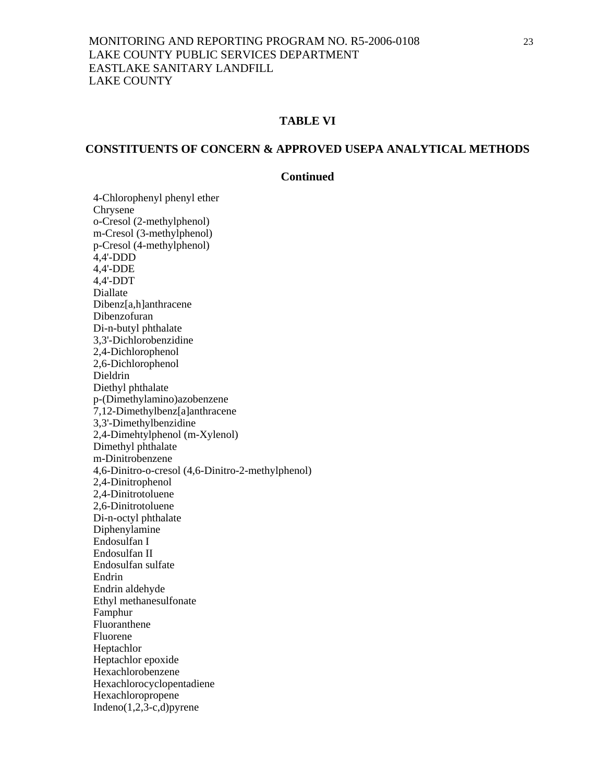# **TABLE VI**

# **CONSTITUENTS OF CONCERN & APPROVED USEPA ANALYTICAL METHODS**

## **Continued**

 4-Chlorophenyl phenyl ether Chrysene o-Cresol (2-methylphenol) m-Cresol (3-methylphenol) p-Cresol (4-methylphenol) 4,4'-DDD 4,4'-DDE 4,4'-DDT Diallate Dibenz[a,h]anthracene Dibenzofuran Di-n-butyl phthalate 3,3'-Dichlorobenzidine 2,4-Dichlorophenol 2,6-Dichlorophenol Dieldrin Diethyl phthalate p-(Dimethylamino)azobenzene 7,12-Dimethylbenz[a]anthracene 3,3'-Dimethylbenzidine 2,4-Dimehtylphenol (m-Xylenol) Dimethyl phthalate m-Dinitrobenzene 4,6-Dinitro-o-cresol (4,6-Dinitro-2-methylphenol) 2,4-Dinitrophenol 2,4-Dinitrotoluene 2,6-Dinitrotoluene Di-n-octyl phthalate Diphenylamine Endosulfan I Endosulfan II Endosulfan sulfate Endrin Endrin aldehyde Ethyl methanesulfonate Famphur Fluoranthene Fluorene Heptachlor Heptachlor epoxide Hexachlorobenzene Hexachlorocyclopentadiene Hexachloropropene Indeno $(1,2,3-c,d)$ pyrene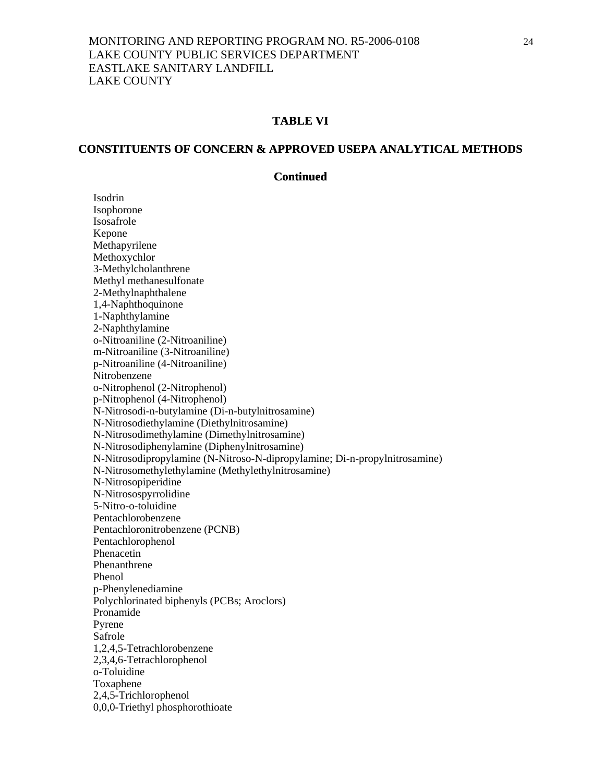#### **TABLE VI**

#### **CONSTITUENTS OF CONCERN & APPROVED USEPA ANALYTICAL METHODS**

#### **Continued**

 Isodrin Isophorone Isosafrole Kepone Methapyrilene Methoxychlor 3-Methylcholanthrene Methyl methanesulfonate 2-Methylnaphthalene 1,4-Naphthoquinone 1-Naphthylamine 2-Naphthylamine o-Nitroaniline (2-Nitroaniline) m-Nitroaniline (3-Nitroaniline) p-Nitroaniline (4-Nitroaniline) Nitrobenzene o-Nitrophenol (2-Nitrophenol) p-Nitrophenol (4-Nitrophenol) N-Nitrosodi-n-butylamine (Di-n-butylnitrosamine) N-Nitrosodiethylamine (Diethylnitrosamine) N-Nitrosodimethylamine (Dimethylnitrosamine) N-Nitrosodiphenylamine (Diphenylnitrosamine) N-Nitrosodipropylamine (N-Nitroso-N-dipropylamine; Di-n-propylnitrosamine) N-Nitrosomethylethylamine (Methylethylnitrosamine) N-Nitrosopiperidine N-Nitrosospyrrolidine 5-Nitro-o-toluidine Pentachlorobenzene Pentachloronitrobenzene (PCNB) Pentachlorophenol Phenacetin Phenanthrene Phenol p-Phenylenediamine Polychlorinated biphenyls (PCBs; Aroclors) Pronamide Pyrene Safrole 1,2,4,5-Tetrachlorobenzene 2,3,4,6-Tetrachlorophenol o-Toluidine Toxaphene 2,4,5-Trichlorophenol 0,0,0-Triethyl phosphorothioate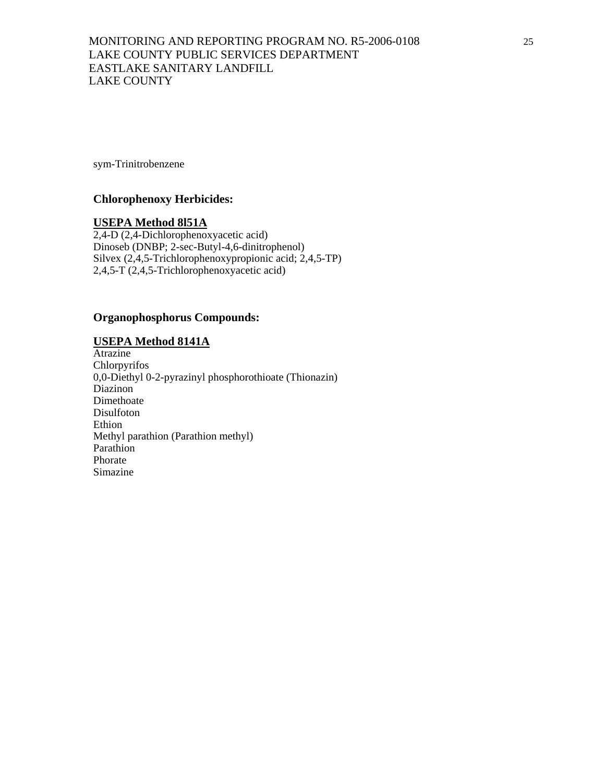sym-Trinitrobenzene

#### **Chlorophenoxy Herbicides:**

#### **USEPA Method 8l51A**

2,4-D (2,4-Dichlorophenoxyacetic acid) Dinoseb (DNBP; 2-sec-Butyl-4,6-dinitrophenol) Silvex (2,4,5-Trichlorophenoxypropionic acid; 2,4,5-TP) 2,4,5-T (2,4,5-Trichlorophenoxyacetic acid)

# **Organophosphorus Compounds:**

### **USEPA Method 8141A**

Atrazine Chlorpyrifos 0,0-Diethyl 0-2-pyrazinyl phosphorothioate (Thionazin) Diazinon Dimethoate Disulfoton Ethion Methyl parathion (Parathion methyl) Parathion Phorate Simazine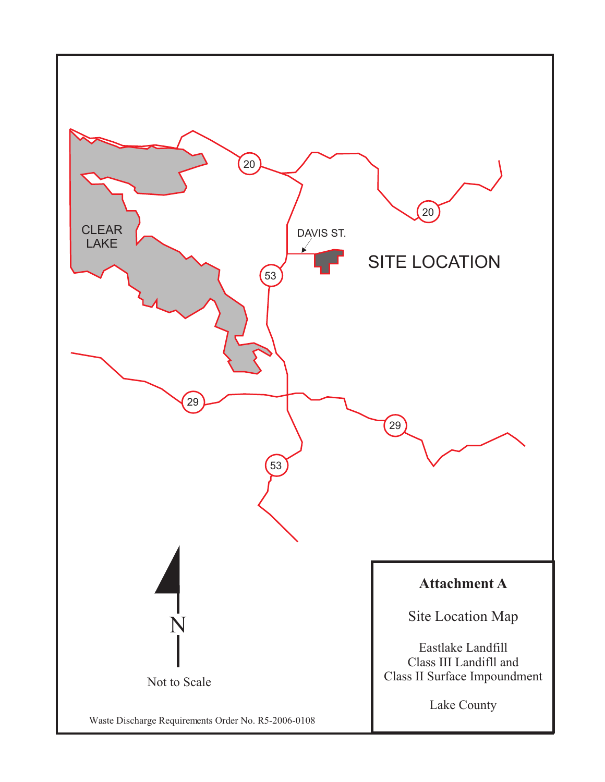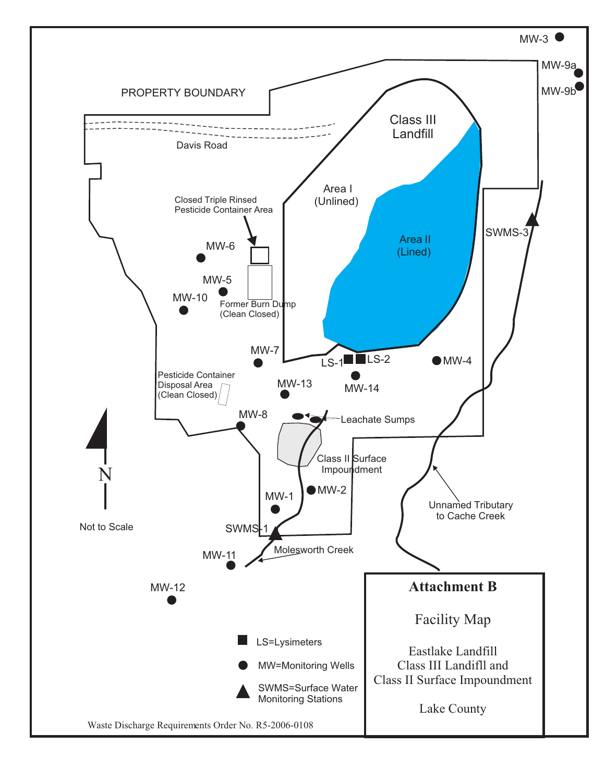